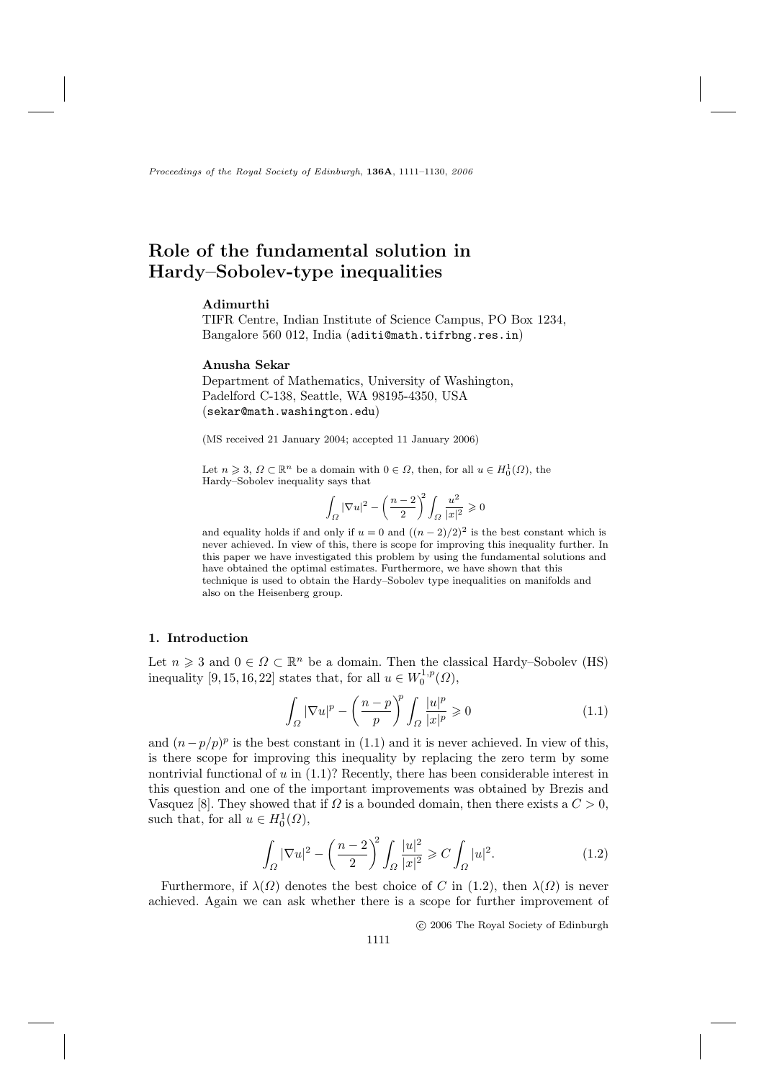Proceedings of the Royal Society of Edinburgh, 136A, 1111-1130, 2006

# Role of the fundamental solution in Hardy-Sobolev-type inequalities

# Adimurthi

TIFR Centre, Indian Institute of Science Campus, PO Box 1234, Bangalore 560 012, India (aditi@math.tifrbng.res.in)

### Anusha Sekar

Department of Mathematics, University of Washington, Padelford C-138, Seattle, WA 98195-4350, USA (sekar@math.washington.edu)

(MS received 21 January 2004; accepted 11 January 2006)

Let  $n \geqslant 3$ ,  $\Omega \subset \mathbb{R}^n$  be a domain with  $0 \in \Omega$ , then, for all  $u \in H_0^1(\Omega)$ , the Hardy-Sobolev inequality says that

$$
\int_{\Omega} |\nabla u|^2 - \left(\frac{n-2}{2}\right)^2 \int_{\Omega} \frac{u^2}{|x|^2} \geqslant 0
$$

and equality holds if and only if  $u = 0$  and  $((n-2)/2)^2$  is the best constant which is never achieved. In view of this, there is scope for improving this inequality further. In this paper we have investigated this problem by using the fundamental solutions and have obtained the optimal estimates. Furthermore, we have shown that this technique is used to obtain the Hardy-Sobolev type inequalities on manifolds and also on the Heisenberg group.

# 1. Introduction

Let  $n \geq 3$  and  $0 \in \Omega \subset \mathbb{R}^n$  be a domain. Then the classical Hardy-Sobolev (HS) inequality [9, 15, 16, 22] states that, for all  $u \in W_0^{1,p}(\Omega)$ ,

$$
\int_{\Omega} |\nabla u|^p - \left(\frac{n-p}{p}\right)^p \int_{\Omega} \frac{|u|^p}{|x|^p} \geqslant 0 \tag{1.1}
$$

and  $(n-p/p)^p$  is the best constant in (1.1) and it is never achieved. In view of this, is there scope for improving this inequality by replacing the zero term by some nontrivial functional of  $u$  in  $(1.1)$ ? Recently, there has been considerable interest in this question and one of the important improvements was obtained by Brezis and Vasquez [8]. They showed that if  $\Omega$  is a bounded domain, then there exists a  $C > 0$ , such that, for all  $u \in H_0^1(\Omega)$ ,

$$
\int_{\Omega} |\nabla u|^2 - \left(\frac{n-2}{2}\right)^2 \int_{\Omega} \frac{|u|^2}{|x|^2} \geqslant C \int_{\Omega} |u|^2. \tag{1.2}
$$

Furthermore, if  $\lambda(\Omega)$  denotes the best choice of C in (1.2), then  $\lambda(\Omega)$  is never achieved. Again we can ask whether there is a scope for further improvement of

© 2006 The Royal Society of Edinburgh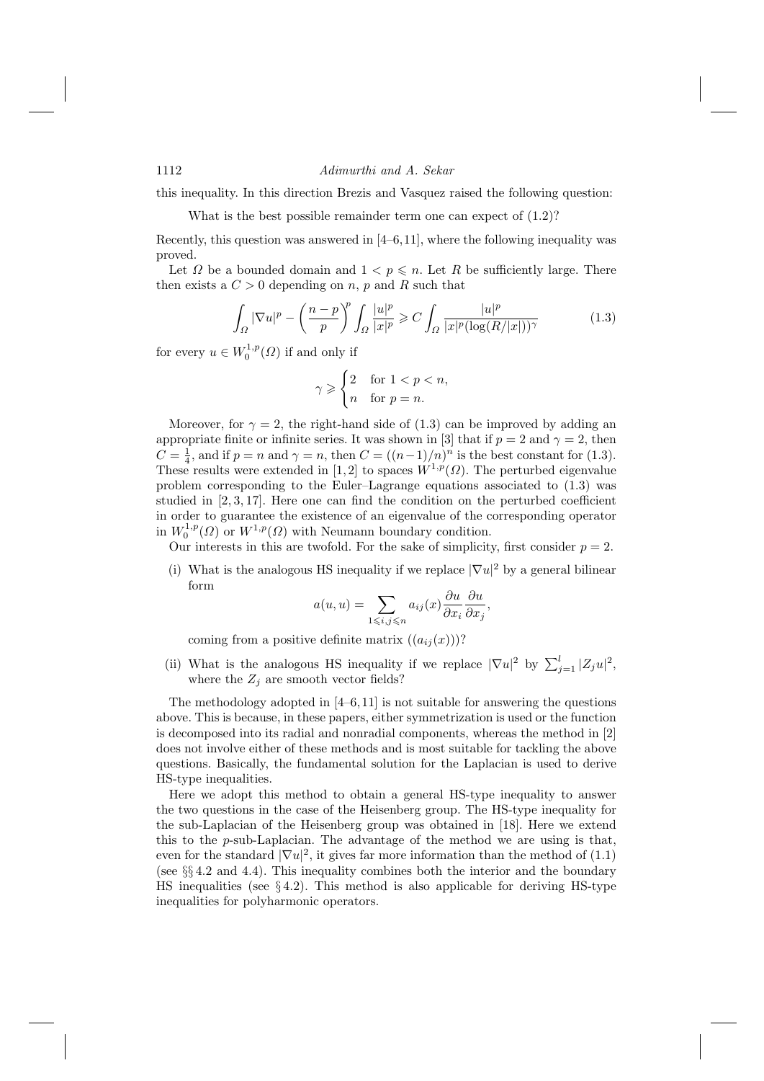this inequality. In this direction Brezis and Vasquez raised the following question:

What is the best possible remainder term one can expect of  $(1.2)$ ?

Recently, this question was answered in  $[4-6,11]$ , where the following inequality was proved.

Let  $\Omega$  be a bounded domain and  $1 < p \leq n$ . Let R be sufficiently large. There then exists a  $C > 0$  depending on n, p and R such that

$$
\int_{\Omega} |\nabla u|^p - \left(\frac{n-p}{p}\right)^p \int_{\Omega} \frac{|u|^p}{|x|^p} \geqslant C \int_{\Omega} \frac{|u|^p}{|x|^p (\log(R/|x|))^{\gamma}} \tag{1.3}
$$

for every  $u \in W_0^{1,p}(\Omega)$  if and only if

$$
\gamma \geqslant \begin{cases} 2 & \text{for } 1 < p < n, \\ n & \text{for } p = n. \end{cases}
$$

Moreover, for  $\gamma = 2$ , the right-hand side of (1.3) can be improved by adding an appropriate finite or infinite series. It was shown in [3] that if  $p = 2$  and  $\gamma = 2$ , then  $C = \frac{1}{4}$ , and if  $p = n$  and  $\gamma = n$ , then  $C = ((n-1)/n)^n$  is the best constant for (1.3). These results were extended in [1,2] to spaces  $W^{1,p}(\Omega)$ . The perturbed eigenvalue problem corresponding to the Euler-Lagrange equations associated to  $(1.3)$  was studied in  $[2,3,17]$ . Here one can find the condition on the perturbed coefficient in order to guarantee the existence of an eigenvalue of the corresponding operator in  $W_0^{1,p}(\Omega)$  or  $W^{1,p}(\Omega)$  with Neumann boundary condition.

Our interests in this are twofold. For the sake of simplicity, first consider  $p = 2$ .

(i) What is the analogous HS inequality if we replace  $|\nabla u|^2$  by a general bilinear form

$$
a(u, u) = \sum_{1 \le i, j \le n} a_{ij}(x) \frac{\partial u}{\partial x_i} \frac{\partial u}{\partial x_j},
$$

coming from a positive definite matrix  $((a_{ij}(x)))$ ?

(ii) What is the analogous HS inequality if we replace  $|\nabla u|^2$  by  $\sum_{i=1}^l |Z_j u|^2$ , where the  $Z_j$  are smooth vector fields?

The methodology adopted in  $[4-6, 11]$  is not suitable for answering the questions above. This is because, in these papers, either symmetrization is used or the function is decomposed into its radial and nonradial components, whereas the method in [2] does not involve either of these methods and is most suitable for tackling the above questions. Basically, the fundamental solution for the Laplacian is used to derive HS-type inequalities.

Here we adopt this method to obtain a general HS-type inequality to answer the two questions in the case of the Heisenberg group. The HS-type inequality for the sub-Laplacian of the Heisenberg group was obtained in [18]. Here we extend this to the  $p$ -sub-Laplacian. The advantage of the method we are using is that, even for the standard  $|\nabla u|^2$ , it gives far more information than the method of (1.1) (see  $\S\S 4.2$  and 4.4). This inequality combines both the interior and the boundary HS inequalities (see  $\S 4.2$ ). This method is also applicable for deriving HS-type inequalities for polyharmonic operators.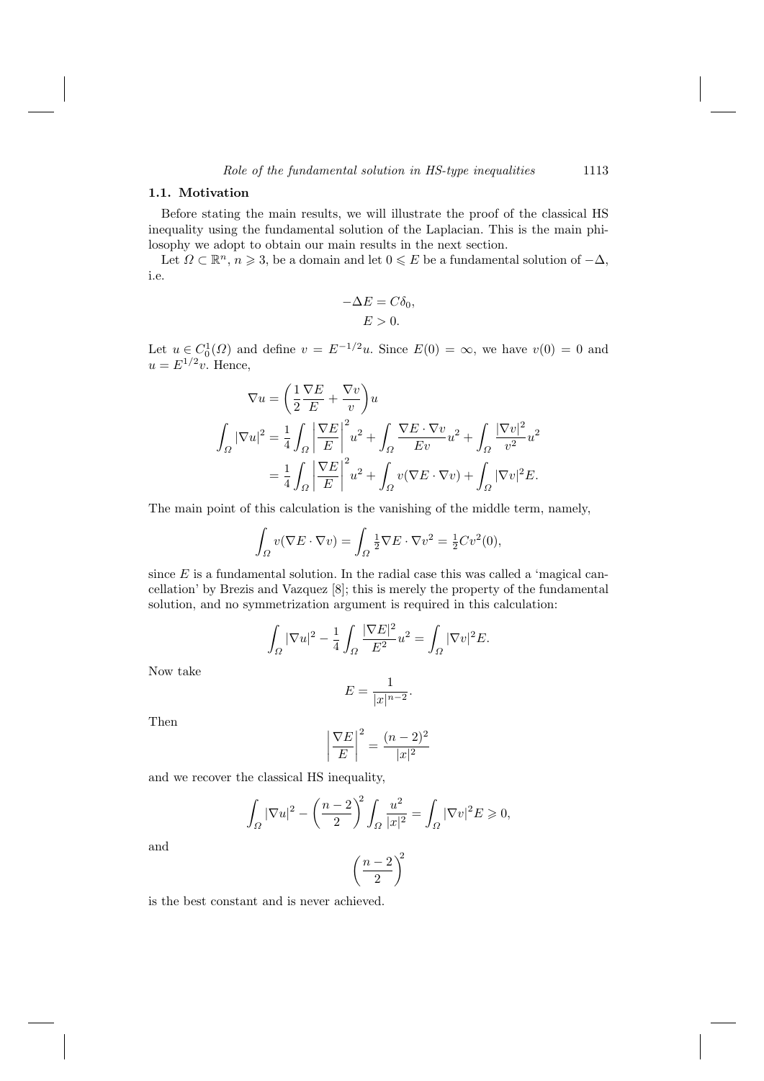### 1.1. Motivation

Before stating the main results, we will illustrate the proof of the classical HS inequality using the fundamental solution of the Laplacian. This is the main philosophy we adopt to obtain our main results in the next section.

Let  $\Omega \subset \mathbb{R}^n$ ,  $n \geq 3$ , be a domain and let  $0 \leq E$  be a fundamental solution of  $-\Delta$ , i.e.

$$
-\Delta E = C\delta_0,
$$
  

$$
E > 0.
$$

Let  $u \in C_0^1(\Omega)$  and define  $v = E^{-1/2}u$ . Since  $E(0) = \infty$ , we have  $v(0) = 0$  and  $u = E^{1/2}v$ . Hence,

$$
\nabla u = \left(\frac{1}{2}\frac{\nabla E}{E} + \frac{\nabla v}{v}\right)u
$$
  

$$
\int_{\Omega} |\nabla u|^2 = \frac{1}{4} \int_{\Omega} \left|\frac{\nabla E}{E}\right|^2 u^2 + \int_{\Omega} \frac{\nabla E \cdot \nabla v}{E v} u^2 + \int_{\Omega} \frac{|\nabla v|^2}{v^2} u^2
$$
  

$$
= \frac{1}{4} \int_{\Omega} \left|\frac{\nabla E}{E}\right|^2 u^2 + \int_{\Omega} v(\nabla E \cdot \nabla v) + \int_{\Omega} |\nabla v|^2 E.
$$

The main point of this calculation is the vanishing of the middle term, namely,

$$
\int_{\Omega} v(\nabla E \cdot \nabla v) = \int_{\Omega} \frac{1}{2} \nabla E \cdot \nabla v^2 = \frac{1}{2} C v^2(0),
$$

since  $E$  is a fundamental solution. In the radial case this was called a 'magical cancellation' by Brezis and Vazquez [8]; this is merely the property of the fundamental solution, and no symmetrization argument is required in this calculation:

$$
\int_{\Omega} |\nabla u|^2 - \frac{1}{4} \int_{\Omega} \frac{|\nabla E|^2}{E^2} u^2 = \int_{\Omega} |\nabla v|^2 E.
$$

Now take

$$
E = \frac{1}{|x|^{n-2}}.
$$

Then

$$
\left|\frac{\nabla E}{E}\right|^2 = \frac{(n-2)^2}{|x|^2}
$$

and we recover the classical HS inequality,

$$
\int_{\Omega} |\nabla u|^2 - \left(\frac{n-2}{2}\right)^2 \int_{\Omega} \frac{u^2}{|x|^2} = \int_{\Omega} |\nabla v|^2 E \ge 0,
$$

and

$$
\left(\frac{n-2}{2}\right)^{\!\!2}
$$

is the best constant and is never achieved.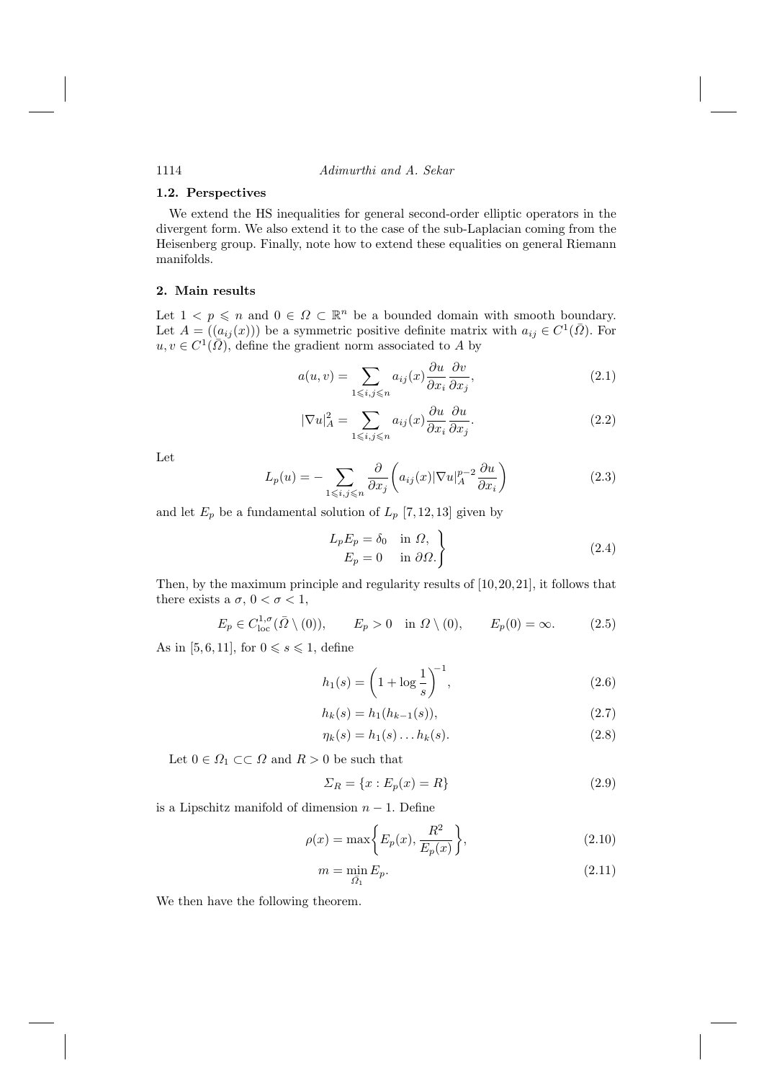### 1.2. Perspectives

1114

We extend the HS inequalities for general second-order elliptic operators in the divergent form. We also extend it to the case of the sub-Laplacian coming from the Heisenberg group. Finally, note how to extend these equalities on general Riemann manifolds.

## 2. Main results

Let  $1 \lt p \leq n$  and  $0 \in \Omega \subset \mathbb{R}^n$  be a bounded domain with smooth boundary. Let  $A = ((a_{ij}(x)))$  be a symmetric positive definite matrix with  $a_{ij} \in C^1(\overline{\Omega})$ . For  $u, v \in C^1(\overline{\Omega})$ , define the gradient norm associated to A by

$$
a(u,v) = \sum_{1 \leqslant i,j \leqslant n} a_{ij}(x) \frac{\partial u}{\partial x_i} \frac{\partial v}{\partial x_j},\tag{2.1}
$$

$$
|\nabla u|_A^2 = \sum_{1 \le i,j \le n} a_{ij}(x) \frac{\partial u}{\partial x_i} \frac{\partial u}{\partial x_j}.
$$
 (2.2)

Let

$$
L_p(u) = -\sum_{1 \le i,j \le n} \frac{\partial}{\partial x_j} \left( a_{ij}(x) |\nabla u|_A^{p-2} \frac{\partial u}{\partial x_i} \right) \tag{2.3}
$$

and let  $E_p$  be a fundamental solution of  $L_p$  [7, 12, 13] given by

$$
L_p E_p = \delta_0 \quad \text{in } \Omega, \nE_p = 0 \quad \text{in } \partial \Omega.
$$
\n(2.4)

Then, by the maximum principle and regularity results of  $[10, 20, 21]$ , it follows that there exists a  $\sigma$ ,  $0 < \sigma < 1$ ,

$$
E_p \in C^{1,\sigma}_{loc}(\bar{\Omega} \setminus (0)), \qquad E_p > 0 \quad \text{in } \Omega \setminus (0), \qquad E_p(0) = \infty. \tag{2.5}
$$

As in [5, 6, 11], for  $0 \le s \le 1$ , define

$$
h_1(s) = \left(1 + \log \frac{1}{s}\right)^{-1},\tag{2.6}
$$

$$
h_k(s) = h_1(h_{k-1}(s)),
$$
\n(2.7)

$$
\eta_k(s) = h_1(s) \dots h_k(s). \tag{2.8}
$$

Let  $0 \in \Omega_1 \subset\subset \Omega$  and  $R > 0$  be such that

$$
\Sigma_R = \{x : E_p(x) = R\}
$$
\n
$$
(2.9)
$$

is a Lipschitz manifold of dimension  $n-1$ . Define

$$
\rho(x) = \max\bigg\{E_p(x), \frac{R^2}{E_p(x)}\bigg\},\tag{2.10}
$$

$$
m = \min_{\bar{\Omega}_1} E_p. \tag{2.11}
$$

We then have the following theorem.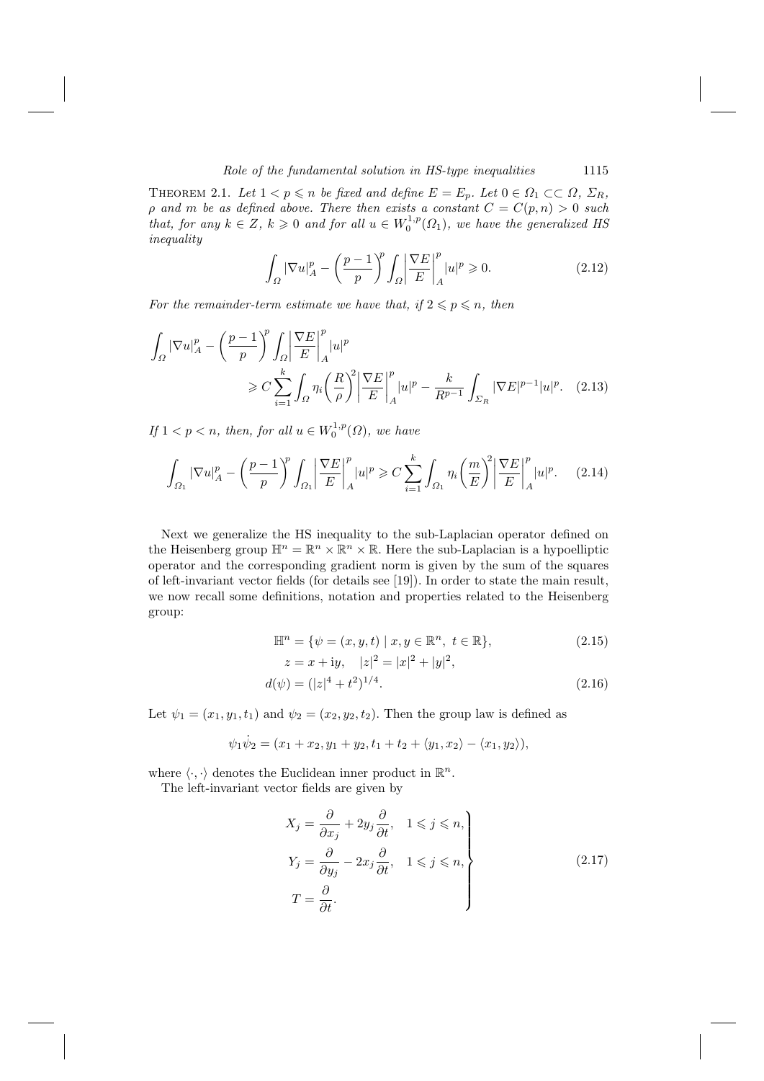THEOREM 2.1. Let  $1 < p \le n$  be fixed and define  $E = E_p$ . Let  $0 \in \Omega_1 \subset\subset \Omega$ ,  $\Sigma_R$ ,  $\rho$  and  $m$  be as defined above. There then exists a constant  $C = C(p, n) > 0$  such that, for any  $k \in Z$ ,  $k \ge 0$  and for all  $u \in W_0^{1,p}(\Omega_1)$ inequality

$$
\int_{\Omega} |\nabla u|_{A}^{p} - \left(\frac{p-1}{p}\right)^{p} \int_{\Omega} \left|\frac{\nabla E}{E}\right|_{A}^{p} |u|^{p} \geqslant 0. \tag{2.12}
$$

For the remainder-term estimate we have that, if  $2 \leqslant p \leqslant n$ , then

$$
\int_{\Omega} |\nabla u|_{A}^{p} - \left(\frac{p-1}{p}\right)^{p} \int_{\Omega} \left|\frac{\nabla E}{E}\right|_{A}^{p} |u|^{p}
$$
\n
$$
\geq C \sum_{i=1}^{k} \int_{\Omega} \eta_{i} \left(\frac{R}{\rho}\right)^{2} \left|\frac{\nabla E}{E}\right|_{A}^{p} |u|^{p} - \frac{k}{R^{p-1}} \int_{\Sigma_{R}} |\nabla E|^{p-1} |u|^{p}.
$$
\n(2.13)

If  $1 < p < n$ , then, for all  $u \in W_0^{1,p}(\Omega)$ , we have

$$
\int_{\Omega_1} |\nabla u|_A^p - \left(\frac{p-1}{p}\right)^p \int_{\Omega_1} \left|\frac{\nabla E}{E}\right|_A^p |u|^p \geqslant C \sum_{i=1}^k \int_{\Omega_1} \eta_i \left(\frac{m}{E}\right)^2 \left|\frac{\nabla E}{E}\right|_A^p |u|^p. \tag{2.14}
$$

Next we generalize the HS inequality to the sub-Laplacian operator defined on the Heisenberg group  $\mathbb{H}^n = \mathbb{R}^n \times \mathbb{R}^n \times \mathbb{R}$ . Here the sub-Laplacian is a hypoelliptic operator and the corresponding gradient norm is given by the sum of the squares of left-invariant vector fields (for details see [19]). In order to state the main result, we now recall some definitions, notation and properties related to the Heisenberg group:

$$
\mathbb{H}^{n} = \{ \psi = (x, y, t) \mid x, y \in \mathbb{R}^{n}, t \in \mathbb{R} \},
$$
  
\n
$$
z = x + i y, \quad |z|^{2} = |x|^{2} + |y|^{2}
$$
\n(2.15)

$$
z = x + 4y, \quad |z| = |w| + |y|,
$$
  
\n
$$
d(\psi) = (|z|^4 + t^2)^{1/4}.
$$
\n(2.16)

Let  $\psi_1 = (x_1, y_1, t_1)$  and  $\psi_2 = (x_2, y_2, t_2)$ . Then the group law is defined as

$$
\psi_1 \dot{\psi}_2 = (x_1 + x_2, y_1 + y_2, t_1 + t_2 + \langle y_1, x_2 \rangle - \langle x_1, y_2 \rangle),
$$

where  $\langle \cdot, \cdot \rangle$  denotes the Euclidean inner product in  $\mathbb{R}^n$ .

The left-invariant vector fields are given by

$$
X_j = \frac{\partial}{\partial x_j} + 2y_j \frac{\partial}{\partial t}, \quad 1 \le j \le n,
$$
  
\n
$$
Y_j = \frac{\partial}{\partial y_j} - 2x_j \frac{\partial}{\partial t}, \quad 1 \le j \le n,
$$
  
\n
$$
T = \frac{\partial}{\partial t}.
$$
\n(2.17)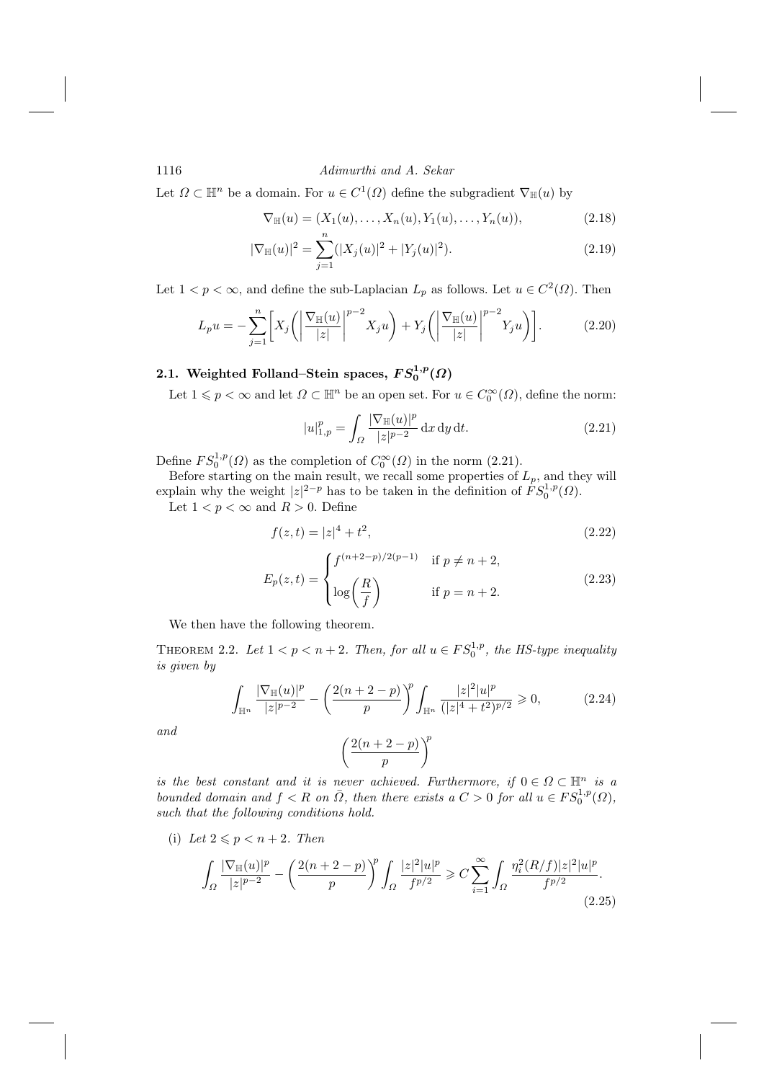Let  $\Omega \subset \mathbb{H}^n$  be a domain. For  $u \in C^1(\Omega)$  define the subgradient  $\nabla_{\mathbb{H}}(u)$  by

$$
\nabla_{\mathbb{H}}(u) = (X_1(u), \dots, X_n(u), Y_1(u), \dots, Y_n(u)), \tag{2.18}
$$

$$
|\nabla_{\mathbb{H}}(u)|^2 = \sum_{j=1} (|X_j(u)|^2 + |Y_j(u)|^2). \tag{2.19}
$$

Let  $1 < p < \infty$ , and define the sub-Laplacian  $L_p$  as follows. Let  $u \in C^2(\Omega)$ . Then

$$
L_p u = -\sum_{j=1}^n \left[ X_j \left( \left| \frac{\nabla_{\mathbb{H}}(u)}{|z|} \right|^{p-2} X_j u \right) + Y_j \left( \left| \frac{\nabla_{\mathbb{H}}(u)}{|z|} \right|^{p-2} Y_j u \right) \right]. \tag{2.20}
$$

# 2.1. Weighted Folland–Stein spaces,  $FS_0^{1,p}(\Omega)$

Let  $1 \leqslant p < \infty$  and let  $\Omega \subset \mathbb{H}^n$  be an open set. For  $u \in C_0^{\infty}(\Omega)$ , define the norm:

$$
|u|_{1,p}^p = \int_{\Omega} \frac{|\nabla_{\mathbb{H}}(u)|^p}{|z|^{p-2}} \, \mathrm{d}x \, \mathrm{d}y \, \mathrm{d}t. \tag{2.21}
$$

Define  $FS_0^{1,p}(\Omega)$  as the completion of  $C_0^{\infty}(\Omega)$  in the norm (2.21).<br>Before starting on the main result, we recall some properties of  $L_p$ , and they will explain why the weight  $|z|^{2-p}$  has to be taken in the defin

Let  $1 < p < \infty$  and  $R > 0$  . Define

$$
f(z,t) = |z|^4 + t^2,\tag{2.22}
$$

$$
E_p(z,t) = \begin{cases} f^{(n+2-p)/2(p-1)} & \text{if } p \neq n+2, \\ \log\left(\frac{R}{f}\right) & \text{if } p = n+2. \end{cases}
$$
 (2.23)

We then have the following theorem.

THEOREM 2.2. Let  $1 < p < n + 2$ . Then, for all  $u \in FS_0^{1,p}$ , the HS-type inequality is given by

$$
\int_{\mathbb{H}^n} \frac{|\nabla_{\mathbb{H}}(u)|^p}{|z|^{p-2}} - \left(\frac{2(n+2-p)}{p}\right)^p \int_{\mathbb{H}^n} \frac{|z|^2 |u|^p}{(|z|^4 + t^2)^{p/2}} \geq 0,
$$
\n(2.24)

and

$$
\left(\frac{2(n+2-p)}{p}\right)^p
$$

is the best constant and it is never achieved. Furthermore, if  $0 \in \Omega \subset \mathbb{H}^n$  is a bounded domain and  $f < R$  on  $\overline{\Omega}$ , then there exists a  $C > 0$  for all  $u \in FS_0^{1,p}(\Omega)$ , such that the following conditions hold.

(i) Let  $2 \leqslant p < n+2$ . Then

$$
\int_{\Omega} \frac{|\nabla_{\mathbb{H}}(u)|^p}{|z|^{p-2}} - \left(\frac{2(n+2-p)}{p}\right)^p \int_{\Omega} \frac{|z|^2 |u|^p}{f^{p/2}} \geqslant C \sum_{i=1}^{\infty} \int_{\Omega} \frac{\eta_i^2 (R/f)|z|^2 |u|^p}{f^{p/2}}.
$$
\n(2.25)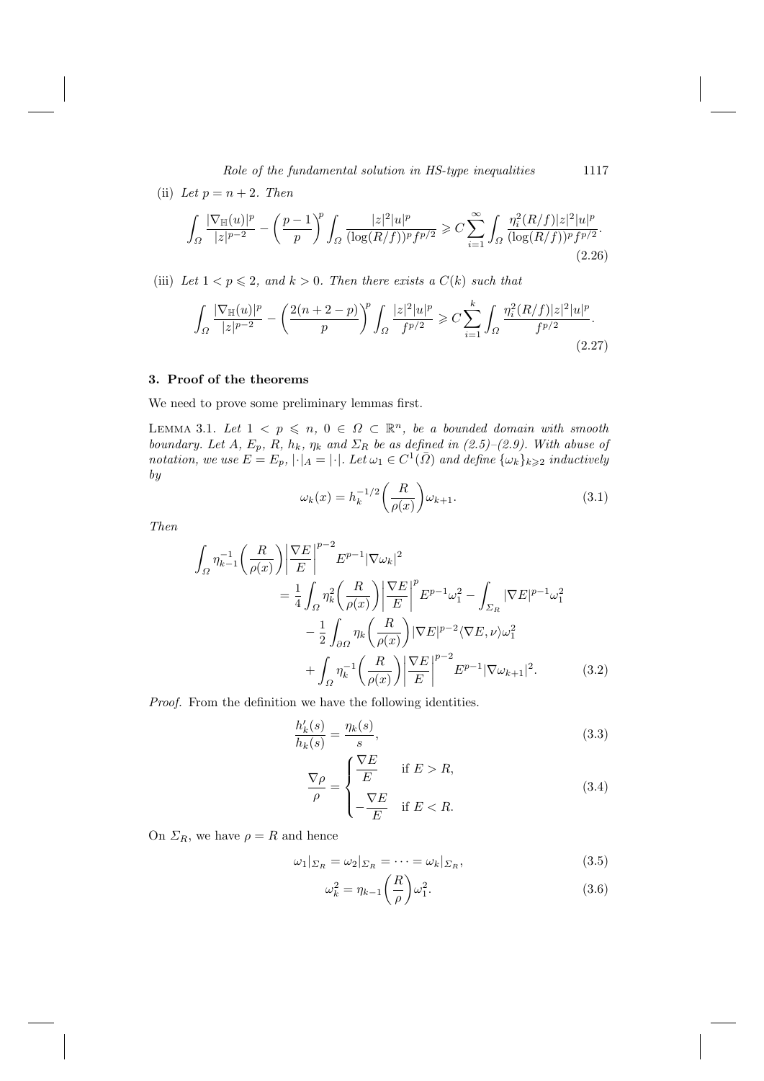(ii) Let  $p = n + 2$ . Then  $\sqrt{5}$  $\sqrt{n}$ 

$$
\int_{\Omega} \frac{|\nabla_{\mathbb{H}}(u)|^p}{|z|^{p-2}} - \left(\frac{p-1}{p}\right)^p \int_{\Omega} \frac{|z|^2 |u|^p}{(\log(R/f))^p f^{p/2}} \geq C \sum_{i=1}^{\infty} \int_{\Omega} \frac{\eta_i^2 (R/f)|z|^2 |u|^p}{(\log(R/f))^p f^{p/2}}.
$$
\n(2.26)

(iii) Let  $1 < p \leq 2$ , and  $k > 0$ . Then there exists a  $C(k)$  such that

$$
\int_{\Omega} \frac{|\nabla_{\mathbb{H}}(u)|^p}{|z|^{p-2}} - \left(\frac{2(n+2-p)}{p}\right)^p \int_{\Omega} \frac{|z|^2|u|^p}{f^{p/2}} \geqslant C \sum_{i=1}^k \int_{\Omega} \frac{\eta_i^2 (R/f)|z|^2|u|^p}{f^{p/2}}.
$$
\n(2.27)

# 3. Proof of the theorems

We need to prove some preliminary lemmas first.

LEMMA 3.1. Let  $1 \leq p \leq n, 0 \in \Omega \subset \mathbb{R}^n$ , be a bounded domain with smooth boundary. Let  $A$ ,  $E_p$ ,  $R$ ,  $h_k$ ,  $\eta_k$  and  $\Sigma_R$  be as defined in (2.5)–(2.9). With abuse of notation, we use  $E = E_p$ ,  $|\cdot|_A = |\cdot|$ . Let  $\omega_1 \in C^1(\overline{\Omega})$  and define  $\{\omega_k\}_{k \geq 2}$  inductively  $by$ 

$$
\omega_k(x) = h_k^{-1/2} \left( \frac{R}{\rho(x)} \right) \omega_{k+1}.
$$
\n(3.1)

**Then** 

$$
\int_{\Omega} \eta_{k-1}^{-1} \left(\frac{R}{\rho(x)}\right) \left| \frac{\nabla E}{E} \right|^{p-2} E^{p-1} |\nabla \omega_k|^2
$$
\n
$$
= \frac{1}{4} \int_{\Omega} \eta_k^2 \left(\frac{R}{\rho(x)}\right) \left| \frac{\nabla E}{E} \right|^p E^{p-1} \omega_1^2 - \int_{\Sigma_R} |\nabla E|^{p-1} \omega_1^2
$$
\n
$$
- \frac{1}{2} \int_{\partial \Omega} \eta_k \left(\frac{R}{\rho(x)}\right) |\nabla E|^{p-2} \langle \nabla E, \nu \rangle \omega_1^2
$$
\n
$$
+ \int_{\Omega} \eta_k^{-1} \left(\frac{R}{\rho(x)}\right) \left| \frac{\nabla E}{E} \right|^{p-2} E^{p-1} |\nabla \omega_{k+1}|^2. \tag{3.2}
$$

*Proof.* From the definition we have the following identities.

$$
\frac{h'_k(s)}{h_k(s)} = \frac{\eta_k(s)}{s},\tag{3.3}
$$

$$
\frac{\nabla \rho}{\rho} = \begin{cases}\n\frac{\nabla E}{E} & \text{if } E > R, \\
-\frac{\nabla E}{E} & \text{if } E < R.\n\end{cases}
$$
\n(3.4)

On  $\Sigma_R$ , we have  $\rho = R$  and hence

$$
\omega_1|_{\Sigma_R} = \omega_2|_{\Sigma_R} = \dots = \omega_k|_{\Sigma_R},\tag{3.5}
$$

$$
\omega_k^2 = \eta_{k-1} \left(\frac{R}{\rho}\right) \omega_1^2. \tag{3.6}
$$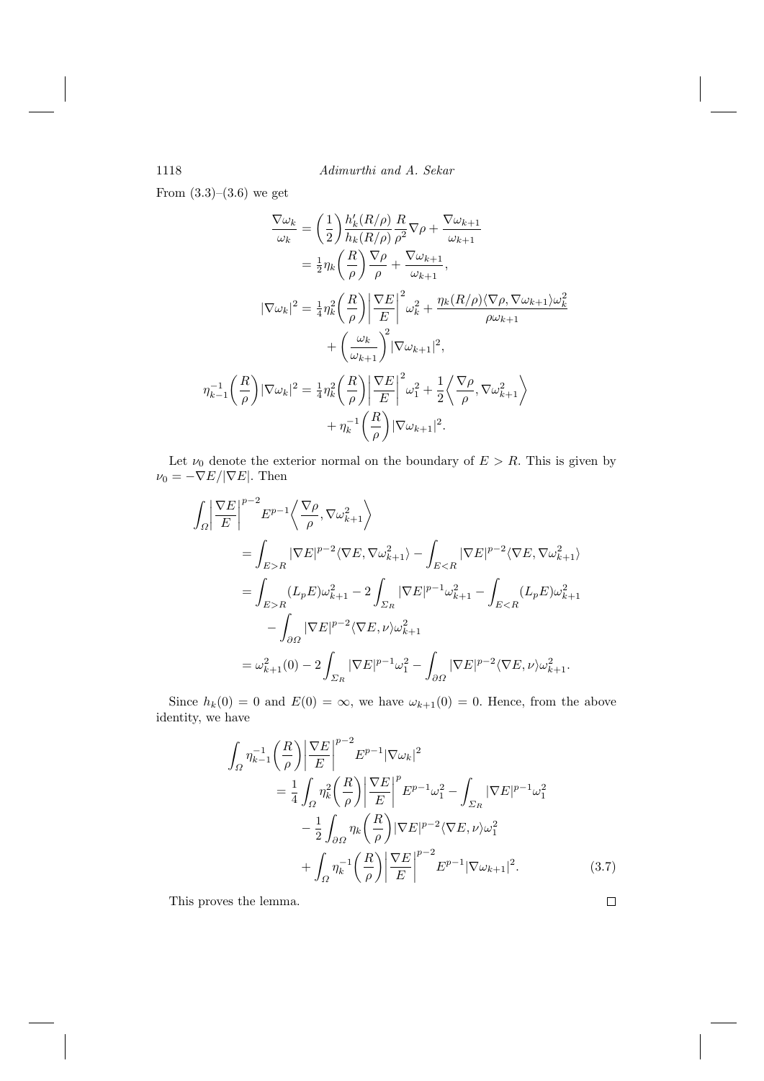From  $(3.3)$ – $(3.6)$  we get

$$
\frac{\nabla \omega_k}{\omega_k} = \left(\frac{1}{2}\right) \frac{h'_k(R/\rho)}{h_k(R/\rho)} \frac{R}{\rho^2} \nabla \rho + \frac{\nabla \omega_{k+1}}{\omega_{k+1}}
$$
  
\n
$$
= \frac{1}{2} \eta_k \left(\frac{R}{\rho}\right) \frac{\nabla \rho}{\rho} + \frac{\nabla \omega_{k+1}}{\omega_{k+1}},
$$
  
\n
$$
|\nabla \omega_k|^2 = \frac{1}{4} \eta_k^2 \left(\frac{R}{\rho}\right) \left|\frac{\nabla E}{E}\right|^2 \omega_k^2 + \frac{\eta_k(R/\rho)\langle \nabla \rho, \nabla \omega_{k+1}\rangle \omega_k^2}{\rho \omega_{k+1}} + \left(\frac{\omega_k}{\omega_{k+1}}\right)^2 |\nabla \omega_{k+1}|^2,
$$
  
\n
$$
\eta_{k-1}^{-1} \left(\frac{R}{\rho}\right) |\nabla \omega_k|^2 = \frac{1}{4} \eta_k^2 \left(\frac{R}{\rho}\right) \left|\frac{\nabla E}{E}\right|^2 \omega_1^2 + \frac{1}{2} \left\langle \frac{\nabla \rho}{\rho}, \nabla \omega_{k+1}^2 \right\rangle
$$
  
\n
$$
+ \eta_k^{-1} \left(\frac{R}{\rho}\right) |\nabla \omega_{k+1}|^2.
$$

Let  $\nu_0$  denote the exterior normal on the boundary of  $E > R$ . This is given by  $\nu_0=-\nabla E/|\nabla E|.$  Then

$$
\begin{split} \int_{\varOmega} \bigg| \frac{\nabla E}{E} \bigg|^{p-2} E^{p-1} \bigg\langle \frac{\nabla \rho}{\rho}, \nabla \omega_{k+1}^2 \bigg\rangle \\ & = \int_{E>R} |\nabla E|^{p-2} \langle \nabla E, \nabla \omega_{k+1}^2 \rangle - \int_{ER} (L_p E) \omega_{k+1}^2 - 2 \int_{\varSigma_R} |\nabla E|^{p-1} \omega_{k+1}^2 - \int_{E
$$

Since  $h_k(0) = 0$  and  $E(0) = \infty$ , we have  $\omega_{k+1}(0) = 0$ . Hence, from the above identity, we have

$$
\int_{\Omega} \eta_{k-1}^{-1} \left(\frac{R}{\rho}\right) \left|\frac{\nabla E}{E}\right|^{p-2} E^{p-1} |\nabla \omega_k|^2
$$
\n
$$
= \frac{1}{4} \int_{\Omega} \eta_k^2 \left(\frac{R}{\rho}\right) \left|\frac{\nabla E}{E}\right|^p E^{p-1} \omega_1^2 - \int_{\Sigma_R} |\nabla E|^{p-1} \omega_1^2
$$
\n
$$
- \frac{1}{2} \int_{\partial \Omega} \eta_k \left(\frac{R}{\rho}\right) |\nabla E|^{p-2} \langle \nabla E, \nu \rangle \omega_1^2
$$
\n
$$
+ \int_{\Omega} \eta_k^{-1} \left(\frac{R}{\rho}\right) \left|\frac{\nabla E}{E}\right|^{p-2} E^{p-1} |\nabla \omega_{k+1}|^2. \tag{3.7}
$$

This proves the lemma.

1118

 $\Box$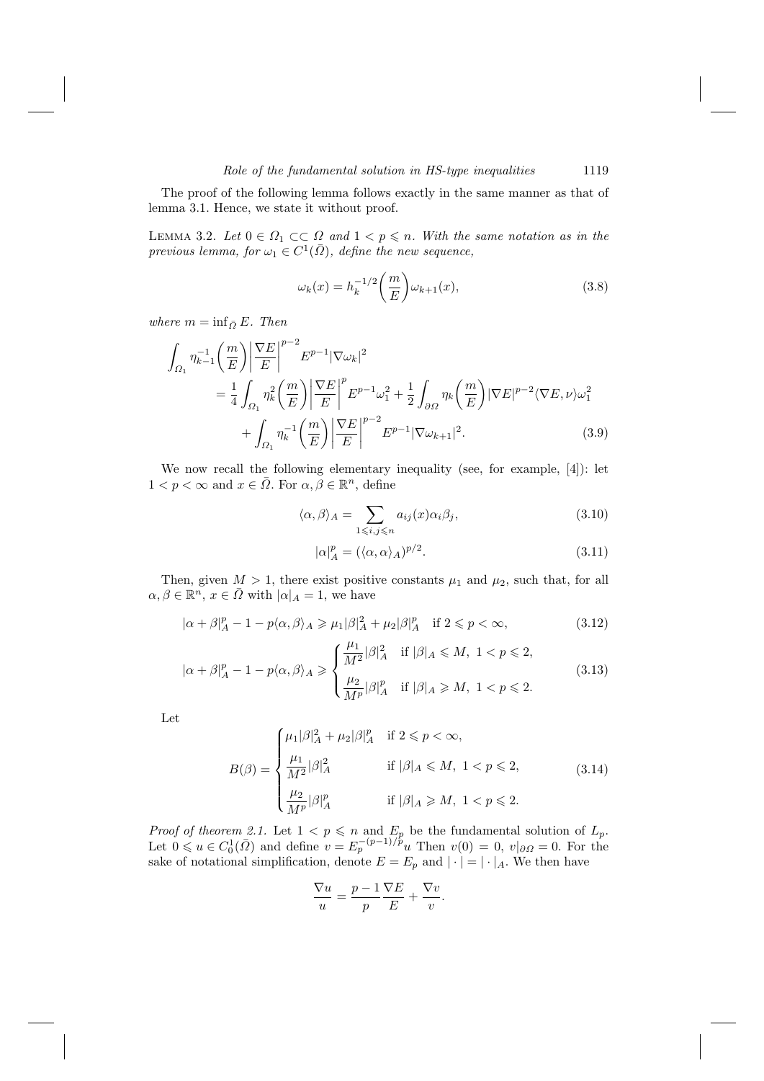The proof of the following lemma follows exactly in the same manner as that of lemma 3.1. Hence, we state it without proof.

LEMMA 3.2. Let  $0 \in \Omega_1 \subset\subset \Omega$  and  $1 < p \leq n$ . With the same notation as in the previous lemma, for  $\omega_1 \in C^1(\overline{\Omega})$ , define the new sequence,

$$
\omega_k(x) = h_k^{-1/2} \left(\frac{m}{E}\right) \omega_{k+1}(x),\tag{3.8}
$$

where  $m = \inf_{\bar{\Omega}} E$ . Then

$$
\int_{\Omega_1} \eta_{k-1}^{-1} \left(\frac{m}{E}\right) \left| \frac{\nabla E}{E} \right|^{p-2} E^{p-1} |\nabla \omega_k|^2
$$
\n
$$
= \frac{1}{4} \int_{\Omega_1} \eta_k^2 \left(\frac{m}{E}\right) \left| \frac{\nabla E}{E} \right|^p E^{p-1} \omega_1^2 + \frac{1}{2} \int_{\partial \Omega} \eta_k \left(\frac{m}{E}\right) |\nabla E|^{p-2} \langle \nabla E, \nu \rangle \omega_1^2
$$
\n
$$
+ \int_{\Omega_1} \eta_k^{-1} \left(\frac{m}{E}\right) \left| \frac{\nabla E}{E} \right|^{p-2} E^{p-1} |\nabla \omega_{k+1}|^2. \tag{3.9}
$$

We now recall the following elementary inequality (see, for example, [4]): let  $1 < p < \infty$  and  $x \in \overline{\Omega}$ . For  $\alpha, \beta \in \mathbb{R}^n$ , define

$$
\langle \alpha, \beta \rangle_A = \sum_{1 \leqslant i,j \leqslant n} a_{ij}(x) \alpha_i \beta_j,
$$
\n(3.10)

$$
|\alpha|_A^p = (\langle \alpha, \alpha \rangle_A)^{p/2}.
$$
\n(3.11)

Then, given  $M > 1$ , there exist positive constants  $\mu_1$  and  $\mu_2$ , such that, for all  $\alpha, \beta \in \mathbb{R}^n$ ,  $x \in \overline{\Omega}$  with  $|\alpha|_A = 1$ , we have

$$
|\alpha + \beta|_A^p - 1 - p\langle \alpha, \beta \rangle_A \ge \mu_1 |\beta|_A^2 + \mu_2 |\beta|_A^p \quad \text{if } 2 \le p < \infty,
$$
\n(3.12)

$$
|\alpha + \beta|_A^p - 1 - p\langle \alpha, \beta \rangle_A \ge \begin{cases} \frac{\mu_1}{M^2} |\beta|_A^2 & \text{if } |\beta|_A \le M, \ 1 < p \le 2, \\ \frac{\mu_2}{M^p} |\beta|_A^p & \text{if } |\beta|_A \ge M, \ 1 < p \le 2. \end{cases} \tag{3.13}
$$

Let

$$
B(\beta) = \begin{cases} \mu_1 |\beta|_A^2 + \mu_2 |\beta|_A^p & \text{if } 2 \leq p < \infty, \\ \frac{\mu_1}{M^2} |\beta|_A^2 & \text{if } |\beta|_A \leq M, \ 1 < p \leq 2, \\ \frac{\mu_2}{M^p} |\beta|_A^p & \text{if } |\beta|_A \geq M, \ 1 < p \leq 2. \end{cases} \tag{3.14}
$$

*Proof of theorem 2.1.* Let  $1 < p \le n$  and  $E_p$  be the fundamental solution of  $L_p$ .<br>Let  $0 \le u \in C_0^1(\overline{\Omega})$  and define  $v = E_p^{-(p-1)/p}u$  Then  $v(0) = 0$ ,  $v|_{\partial\Omega} = 0$ . For the sake of notational simplification, denote  $E = E_p$  and  $|\cdot| = |\cdot|_A$ . We then have

$$
\frac{\nabla u}{u} = \frac{p-1}{p} \frac{\nabla E}{E} + \frac{\nabla v}{v}.
$$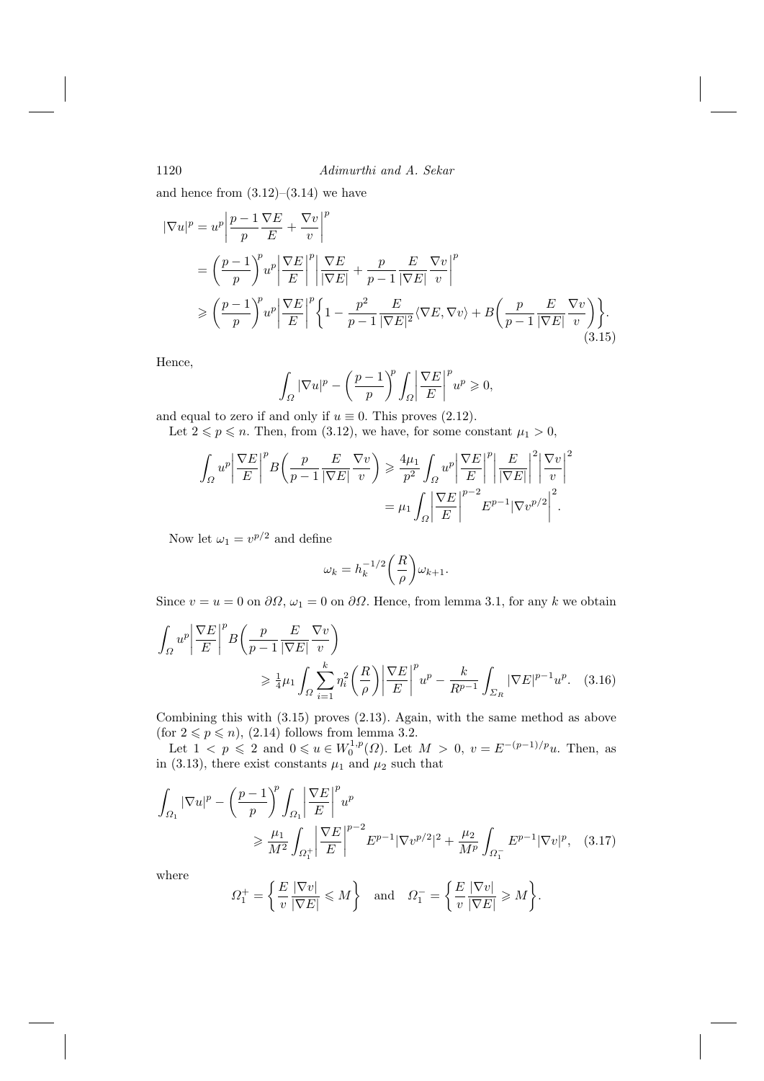and hence from  $(3.12)$ – $(3.14)$  we have

$$
\begin{split} |\nabla u|^{p} &= u^{p} \left| \frac{p-1}{p} \frac{\nabla E}{E} + \frac{\nabla v}{v} \right|^{p} \\ &= \left( \frac{p-1}{p} \right)^{p} u^{p} \left| \frac{\nabla E}{E} \right|^{p} \left| \frac{\nabla E}{|\nabla E|} + \frac{p}{p-1} \frac{E}{|\nabla E|} \frac{\nabla v}{v} \right|^{p} \\ &\geqslant \left( \frac{p-1}{p} \right)^{p} u^{p} \left| \frac{\nabla E}{E} \right|^{p} \left\{ 1 - \frac{p^{2}}{p-1} \frac{E}{|\nabla E|^{2}} \langle \nabla E, \nabla v \rangle + B \left( \frac{p}{p-1} \frac{E}{|\nabla E|} \frac{\nabla v}{v} \right) \right\}. \end{split} \tag{3.15}
$$

Hence,

$$
\int_{\Omega} |\nabla u|^p - \left(\frac{p-1}{p}\right)^p \int_{\Omega} \left|\frac{\nabla E}{E}\right|^p u^p \ge 0,
$$

and equal to zero if and only if  $u \equiv 0$ . This proves (2.12).

Let  $2 \leqslant p \leqslant n$ . Then, from (3.12), we have, for some constant  $\mu_1 > 0$ ,

$$
\int_{\Omega} u^{p} \left| \frac{\nabla E}{E} \right|^{p} B\left(\frac{p}{p-1} \frac{E}{|\nabla E|} \frac{\nabla v}{v}\right) \geq \frac{4\mu_{1}}{p^{2}} \int_{\Omega} u^{p} \left| \frac{\nabla E}{E} \right|^{p} \left| \frac{E}{|\nabla E|} \right|^{2} \left| \frac{\nabla v}{v} \right|^{2}
$$

$$
= \mu_{1} \int_{\Omega} \left| \frac{\nabla E}{E} \right|^{p-2} E^{p-1} |\nabla v^{p/2}|^{2}.
$$

Now let  $\omega_1 = v^{p/2}$  and define

$$
\omega_k = h_k^{-1/2} \bigg( \frac{R}{\rho} \bigg) \omega_{k+1}.
$$

Since  $v = u = 0$  on  $\partial\Omega$ ,  $\omega_1 = 0$  on  $\partial\Omega$ . Hence, from lemma 3.1, for any k we obtain

$$
\int_{\Omega} u^p \left| \frac{\nabla E}{E} \right|^p B\left(\frac{p}{p-1} \frac{E}{|\nabla E|} \frac{\nabla v}{v}\right)
$$
\n
$$
\geq \frac{1}{4} \mu_1 \int_{\Omega} \sum_{i=1}^k \eta_i^2 \left(\frac{R}{\rho}\right) \left| \frac{\nabla E}{E} \right|^p u^p - \frac{k}{R^{p-1}} \int_{\Sigma_R} |\nabla E|^{p-1} u^p. \quad (3.16)
$$

Combining this with  $(3.15)$  proves  $(2.13)$ . Again, with the same method as above (for  $2 \leq p \leq n$ ), (2.14) follows from lemma 3.2.

Let  $1 < p \le 2$  and  $0 \le u \in W_0^{1,p}(\Omega)$ . Let  $M > 0$ ,  $v = E^{-(p-1)/p}u$ . Then, as in (3.13), there exist constants  $\mu_1$  and  $\mu_2$  such that

$$
\int_{\Omega_1} |\nabla u|^p - \left(\frac{p-1}{p}\right)^p \int_{\Omega_1} \left|\frac{\nabla E}{E}\right|^p u^p
$$
\n
$$
\geq \frac{\mu_1}{M^2} \int_{\Omega_1^+} \left|\frac{\nabla E}{E}\right|^{p-2} E^{p-1} |\nabla v^{p/2}|^2 + \frac{\mu_2}{M^p} \int_{\Omega_1^-} E^{p-1} |\nabla v|^p, \quad (3.17)
$$

where

$$
\Omega_1^+ = \left\{ \frac{E}{v} \frac{|\nabla v|}{|\nabla E|} \leq M \right\} \quad \text{and} \quad \Omega_1^- = \left\{ \frac{E}{v} \frac{|\nabla v|}{|\nabla E|} \geq M \right\}.
$$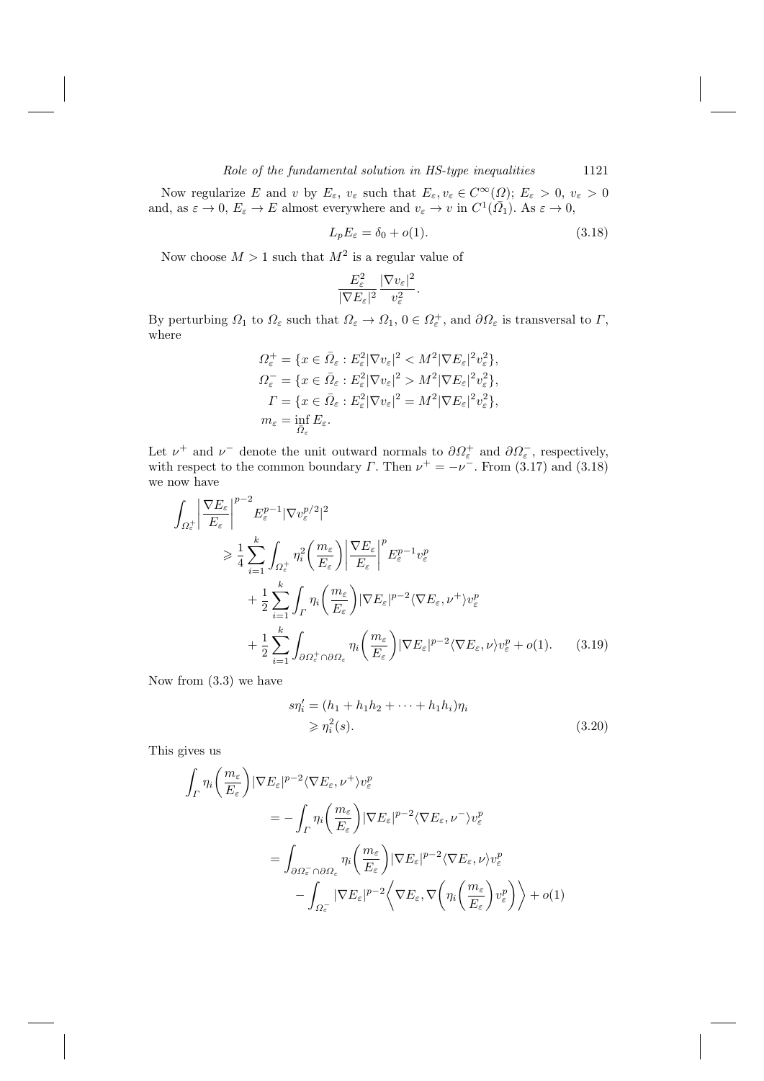Now regularize E and v by  $E_{\varepsilon}$ ,  $v_{\varepsilon}$  such that  $E_{\varepsilon}$ ,  $v_{\varepsilon} \in C^{\infty}(\Omega)$ ;  $E_{\varepsilon} > 0$ ,  $v_{\varepsilon} > 0$ <br>and, as  $\varepsilon \to 0$ ,  $E_{\varepsilon} \to E$  almost everywhere and  $v_{\varepsilon} \to v$  in  $C^{1}(\overline{\Omega}_{1})$ . As  $\varepsilon \to 0$ ,

$$
L_p E_{\varepsilon} = \delta_0 + o(1). \tag{3.18}
$$

Now choose  $M > 1$  such that  $M^2$  is a regular value of

$$
\frac{E_{\varepsilon}^2}{|\nabla E_{\varepsilon}|^2} \frac{|\nabla v_{\varepsilon}|^2}{v_{\varepsilon}^2}.
$$

By perturbing  $\Omega_1$  to  $\Omega_{\varepsilon}$  such that  $\Omega_{\varepsilon} \to \Omega_1$ ,  $0 \in \Omega_{\varepsilon}^+$ , and  $\partial \Omega_{\varepsilon}$  is transversal to  $\Gamma$ , where

$$
\Omega_{\varepsilon}^{+} = \{ x \in \bar{\Omega}_{\varepsilon} : E_{\varepsilon}^{2} |\nabla v_{\varepsilon}|^{2} < M^{2} |\nabla E_{\varepsilon}|^{2} v_{\varepsilon}^{2} \},
$$
\n
$$
\Omega_{\varepsilon}^{-} = \{ x \in \bar{\Omega}_{\varepsilon} : E_{\varepsilon}^{2} |\nabla v_{\varepsilon}|^{2} > M^{2} |\nabla E_{\varepsilon}|^{2} v_{\varepsilon}^{2} \},
$$
\n
$$
\Gamma = \{ x \in \bar{\Omega}_{\varepsilon} : E_{\varepsilon}^{2} |\nabla v_{\varepsilon}|^{2} = M^{2} |\nabla E_{\varepsilon}|^{2} v_{\varepsilon}^{2} \},
$$
\n
$$
m_{\varepsilon} = \inf_{\bar{\Omega}_{\varepsilon}} E_{\varepsilon}.
$$

Let  $\nu^+$  and  $\nu^-$  denote the unit outward normals to  $\partial \Omega_{\varepsilon}^+$  and  $\partial \Omega_{\varepsilon}^-$ , respectively, with respect to the common boundary  $\Gamma$ . Then  $\nu^+ = -\nu^-$ . From (3.17) and (3.18) we now have

$$
\int_{\Omega_{\varepsilon}^{+}} \left| \frac{\nabla E_{\varepsilon}}{E_{\varepsilon}} \right|^{p-2} E_{\varepsilon}^{p-1} |\nabla v_{\varepsilon}^{p/2}|^{2}
$$
\n
$$
\geq \frac{1}{4} \sum_{i=1}^{k} \int_{\Omega_{\varepsilon}^{+}} \eta_{i}^{2} \left( \frac{m_{\varepsilon}}{E_{\varepsilon}} \right) \left| \frac{\nabla E_{\varepsilon}}{E_{\varepsilon}} \right|^{p} E_{\varepsilon}^{p-1} v_{\varepsilon}^{p}
$$
\n
$$
+ \frac{1}{2} \sum_{i=1}^{k} \int_{\Gamma} \eta_{i} \left( \frac{m_{\varepsilon}}{E_{\varepsilon}} \right) |\nabla E_{\varepsilon}|^{p-2} \langle \nabla E_{\varepsilon}, \nu^{+} \rangle v_{\varepsilon}^{p}
$$
\n
$$
+ \frac{1}{2} \sum_{i=1}^{k} \int_{\partial \Omega_{\varepsilon}^{+} \cap \partial \Omega_{\varepsilon}} \eta_{i} \left( \frac{m_{\varepsilon}}{E_{\varepsilon}} \right) |\nabla E_{\varepsilon}|^{p-2} \langle \nabla E_{\varepsilon}, \nu \rangle v_{\varepsilon}^{p} + o(1). \tag{3.19}
$$

Now from  $(3.3)$  we have

$$
s\eta_i' = (h_1 + h_1 h_2 + \dots + h_1 h_i)\eta_i
$$
  
\n
$$
\geqslant \eta_i^2(s).
$$
 (3.20)

This gives us

$$
\int_{\Gamma} \eta_i \left( \frac{m_{\varepsilon}}{E_{\varepsilon}} \right) |\nabla E_{\varepsilon}|^{p-2} \langle \nabla E_{\varepsilon}, \nu^{+} \rangle v_{\varepsilon}^p
$$
\n
$$
= - \int_{\Gamma} \eta_i \left( \frac{m_{\varepsilon}}{E_{\varepsilon}} \right) |\nabla E_{\varepsilon}|^{p-2} \langle \nabla E_{\varepsilon}, \nu^{-} \rangle v_{\varepsilon}^p
$$
\n
$$
= \int_{\partial \Omega_{\varepsilon}^- \cap \partial \Omega_{\varepsilon}} \eta_i \left( \frac{m_{\varepsilon}}{E_{\varepsilon}} \right) |\nabla E_{\varepsilon}|^{p-2} \langle \nabla E_{\varepsilon}, \nu \rangle v_{\varepsilon}^p
$$
\n
$$
- \int_{\Omega_{\varepsilon}^-} |\nabla E_{\varepsilon}|^{p-2} \left\langle \nabla E_{\varepsilon}, \nabla \left( \eta_i \left( \frac{m_{\varepsilon}}{E_{\varepsilon}} \right) v_{\varepsilon}^p \right) \right\rangle + o(1)
$$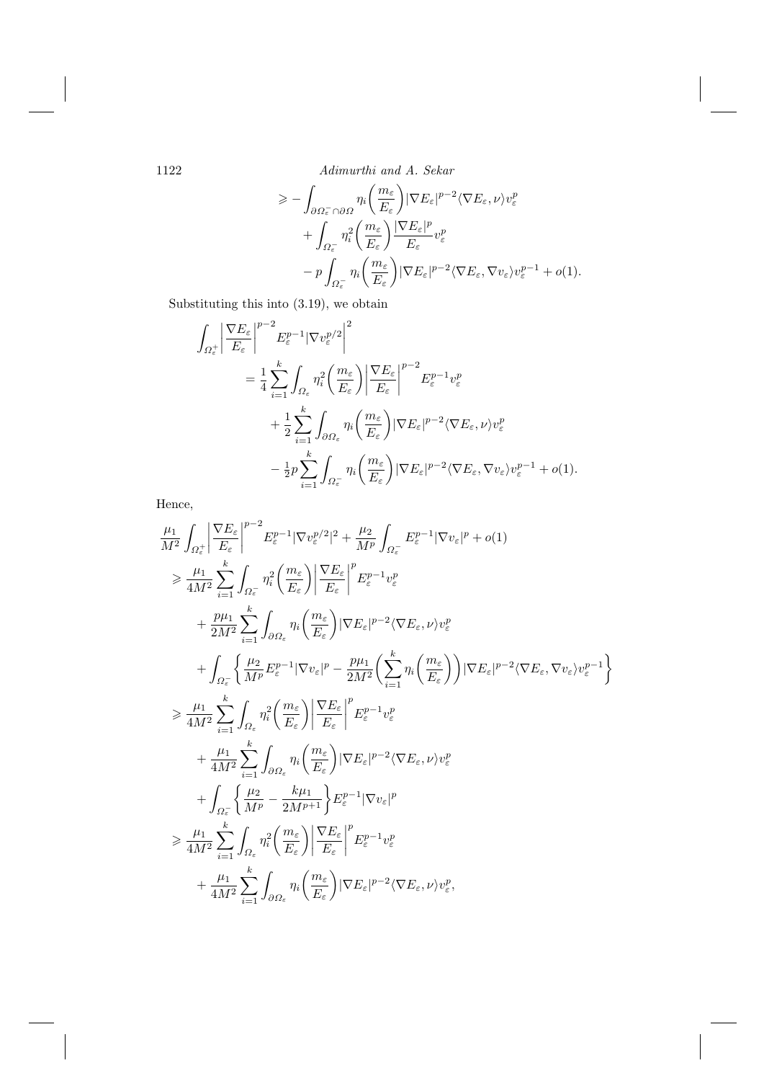$$
\geq -\int_{\partial\Omega_{\varepsilon}^{-}\cap\partial\Omega} \eta_i\left(\frac{m_{\varepsilon}}{E_{\varepsilon}}\right) |\nabla E_{\varepsilon}|^{p-2} \langle \nabla E_{\varepsilon}, \nu \rangle v_{\varepsilon}^p + \int_{\Omega_{\varepsilon}^{-}} \eta_i^2\left(\frac{m_{\varepsilon}}{E_{\varepsilon}}\right) \frac{|\nabla E_{\varepsilon}|^p}{E_{\varepsilon}} v_{\varepsilon}^p - p \int_{\Omega_{\varepsilon}^{-}} \eta_i\left(\frac{m_{\varepsilon}}{E_{\varepsilon}}\right) |\nabla E_{\varepsilon}|^{p-2} \langle \nabla E_{\varepsilon}, \nabla v_{\varepsilon} \rangle v_{\varepsilon}^{p-1} + o(1).
$$

Substituting this into  $(3.19)$ , we obtain

$$
\int_{\Omega_{\varepsilon}^{+}} \left| \frac{\nabla E_{\varepsilon}}{E_{\varepsilon}} \right|^{p-2} E_{\varepsilon}^{p-1} |\nabla v_{\varepsilon}^{p/2}|^{2}
$$
\n
$$
= \frac{1}{4} \sum_{i=1}^{k} \int_{\Omega_{\varepsilon}} \eta_{i}^{2} \left( \frac{m_{\varepsilon}}{E_{\varepsilon}} \right) \left| \frac{\nabla E_{\varepsilon}}{E_{\varepsilon}} \right|^{p-2} E_{\varepsilon}^{p-1} v_{\varepsilon}^{p}
$$
\n
$$
+ \frac{1}{2} \sum_{i=1}^{k} \int_{\partial \Omega_{\varepsilon}} \eta_{i} \left( \frac{m_{\varepsilon}}{E_{\varepsilon}} \right) |\nabla E_{\varepsilon}|^{p-2} \langle \nabla E_{\varepsilon}, \nu \rangle v_{\varepsilon}^{p}
$$
\n
$$
- \frac{1}{2} p \sum_{i=1}^{k} \int_{\Omega_{\varepsilon}^{-}} \eta_{i} \left( \frac{m_{\varepsilon}}{E_{\varepsilon}} \right) |\nabla E_{\varepsilon}|^{p-2} \langle \nabla E_{\varepsilon}, \nabla v_{\varepsilon} \rangle v_{\varepsilon}^{p-1} + o(1).
$$

Hence,

$$
\frac{\mu_1}{M^2} \int_{\Omega_{\epsilon}^{+}} \left| \frac{\nabla E_{\epsilon}}{E_{\epsilon}} \right|^{p-2} E_{\epsilon}^{p-1} |\nabla v_{\epsilon}^{p/2}|^{2} + \frac{\mu_2}{M^p} \int_{\Omega_{\epsilon}^{-}} E_{\epsilon}^{p-1} |\nabla v_{\epsilon}|^{p} + o(1) \n\geq \frac{\mu_1}{4M^2} \sum_{i=1}^{k} \int_{\Omega_{\epsilon}^{-}} \eta_{i}^{2} \left( \frac{m_{\epsilon}}{E_{\epsilon}} \right) \left| \frac{\nabla E_{\epsilon}}{E_{\epsilon}} \right|^{p} E_{\epsilon}^{p-1} v_{\epsilon}^{p} \n+ \frac{p\mu_1}{2M^2} \sum_{i=1}^{k} \int_{\partial \Omega_{\epsilon}} \eta_{i} \left( \frac{m_{\epsilon}}{E_{\epsilon}} \right) |\nabla E_{\epsilon}|^{p-2} \langle \nabla E_{\epsilon}, \nu \rangle v_{\epsilon}^{p} \n+ \int_{\Omega_{\epsilon}^{-}} \left\{ \frac{\mu_2}{M^p} E_{\epsilon}^{p-1} |\nabla v_{\epsilon}|^{p} - \frac{p\mu_1}{2M^2} \left( \sum_{i=1}^{k} \eta_{i} \left( \frac{m_{\epsilon}}{E_{\epsilon}} \right) \right) |\nabla E_{\epsilon}|^{p-2} \langle \nabla E_{\epsilon}, \nabla v_{\epsilon} \rangle v_{\epsilon}^{p-1} \right\} \n\geq \frac{\mu_1}{4M^2} \sum_{i=1}^{k} \int_{\Omega_{\epsilon}} \eta_{i}^{2} \left( \frac{m_{\epsilon}}{E_{\epsilon}} \right) \left| \frac{\nabla E_{\epsilon}}{E_{\epsilon}} \right|^{p} E_{\epsilon}^{p-1} v_{\epsilon}^{p} \n+ \frac{\mu_1}{4M^2} \sum_{i=1}^{k} \int_{\partial \Omega_{\epsilon}} \eta_{i} \left( \frac{m_{\epsilon}}{E_{\epsilon}} \right) |\nabla E_{\epsilon}|^{p-2} \langle \nabla E_{\epsilon}, \nu \rangle v_{\epsilon}^{p} \n+ \int_{\Omega_{\epsilon}^{-}} \left\{ \frac{\mu_2}{M^p} - \frac{k\mu_1}{2M^{p+1}} \right
$$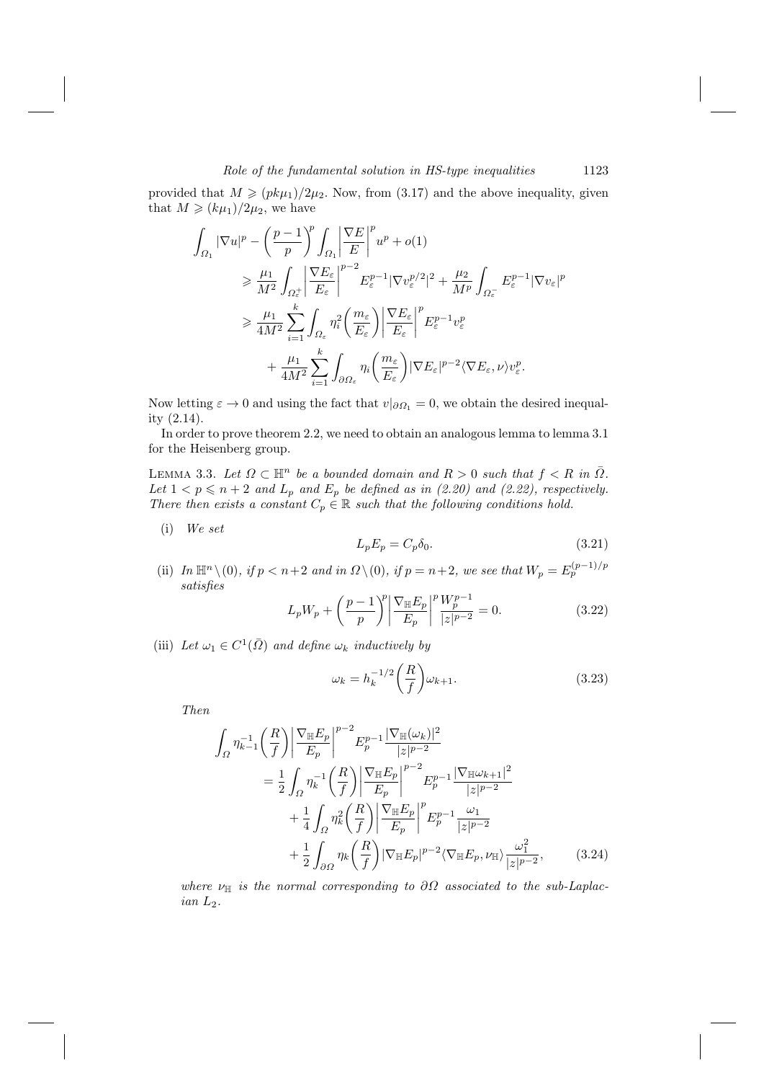provided that  $M \geq (p k \mu_1)/2 \mu_2$ . Now, from (3.17) and the above inequality, given that  $M \geqslant (k\mu_1)/2\mu_2$ , we have

$$
\int_{\Omega_1} |\nabla u|^p - \left(\frac{p-1}{p}\right)^p \int_{\Omega_1} \left|\frac{\nabla E}{E}\right|^p u^p + o(1)
$$
\n
$$
\geq \frac{\mu_1}{M^2} \int_{\Omega_{\varepsilon}^+} \left|\frac{\nabla E_{\varepsilon}}{E_{\varepsilon}}\right|^{p-2} E_{\varepsilon}^{p-1} |\nabla v_{\varepsilon}^{p/2}|^2 + \frac{\mu_2}{M^p} \int_{\Omega_{\varepsilon}^-} E_{\varepsilon}^{p-1} |\nabla v_{\varepsilon}|^p
$$
\n
$$
\geq \frac{\mu_1}{4M^2} \sum_{i=1}^k \int_{\Omega_{\varepsilon}} \eta_i^2 \left(\frac{m_{\varepsilon}}{E_{\varepsilon}}\right) \left|\frac{\nabla E_{\varepsilon}}{E_{\varepsilon}}\right|^p E_{\varepsilon}^{p-1} v_{\varepsilon}^p
$$
\n
$$
+ \frac{\mu_1}{4M^2} \sum_{i=1}^k \int_{\partial \Omega_{\varepsilon}} \eta_i \left(\frac{m_{\varepsilon}}{E_{\varepsilon}}\right) |\nabla E_{\varepsilon}|^{p-2} \langle \nabla E_{\varepsilon}, \nu \rangle v_{\varepsilon}^p.
$$

Now letting  $\varepsilon \to 0$  and using the fact that  $v|_{\partial \Omega_1} = 0$ , we obtain the desired inequality  $(2.14)$ .

In order to prove theorem 2.2, we need to obtain an analogous lemma to lemma 3.1 for the Heisenberg group.

LEMMA 3.3. Let  $\Omega \subset \mathbb{H}^n$  be a bounded domain and  $R > 0$  such that  $f < R$  in  $\overline{\Omega}$ .<br>Let  $1 < p \le n + 2$  and  $L_p$  and  $E_p$  be defined as in (2.20) and (2.22), respectively.<br>There then exists a constant  $C_p \in \mathbb{R}$  such

 $(i)$  We set

$$
L_p E_p = C_p \delta_0. \tag{3.21}
$$

(ii) In  $\mathbb{H}^n \setminus (0)$ , if  $p < n+2$  and in  $\Omega \setminus (0)$ , if  $p = n+2$ , we see that  $W_p = E_p^{(p-1)/p}$  $satisfies$ 

$$
L_p W_p + \left(\frac{p-1}{p}\right)^p \left|\frac{\nabla_{\mathbb{H}} E_p}{E_p}\right|^p \frac{W_p^{p-1}}{|z|^{p-2}} = 0.
$$
 (3.22)

(iii) Let  $\omega_1 \in C^1(\overline{\Omega})$  and define  $\omega_k$  inductively by

$$
\omega_k = h_k^{-1/2} \left(\frac{R}{f}\right) \omega_{k+1}.\tag{3.23}
$$

Then

$$
\int_{\Omega} \eta_{k-1}^{-1} \left(\frac{R}{f}\right) \left| \frac{\nabla_{\mathbb{H}} E_{p}}{E_{p}} \right|^{p-2} E_{p}^{p-1} \frac{|\nabla_{\mathbb{H}} (\omega_{k})|^{2}}{|z|^{p-2}} \n= \frac{1}{2} \int_{\Omega} \eta_{k}^{-1} \left(\frac{R}{f}\right) \left| \frac{\nabla_{\mathbb{H}} E_{p}}{E_{p}} \right|^{p-2} E_{p}^{p-1} \frac{|\nabla_{\mathbb{H}} \omega_{k+1}|^{2}}{|z|^{p-2}} \n+ \frac{1}{4} \int_{\Omega} \eta_{k}^{2} \left(\frac{R}{f}\right) \left| \frac{\nabla_{\mathbb{H}} E_{p}}{E_{p}} \right|^{p} E_{p}^{p-1} \frac{\omega_{1}}{|z|^{p-2}} \n+ \frac{1}{2} \int_{\partial \Omega} \eta_{k} \left(\frac{R}{f}\right) |\nabla_{\mathbb{H}} E_{p}|^{p-2} \langle \nabla_{\mathbb{H}} E_{p}, \nu_{\mathbb{H}} \rangle \frac{\omega_{1}^{2}}{|z|^{p-2}}, \qquad (3.24)
$$

where  $\nu_{\mathbb{H}}$  is the normal corresponding to  $\partial\Omega$  associated to the sub-Laplac $ian L_2.$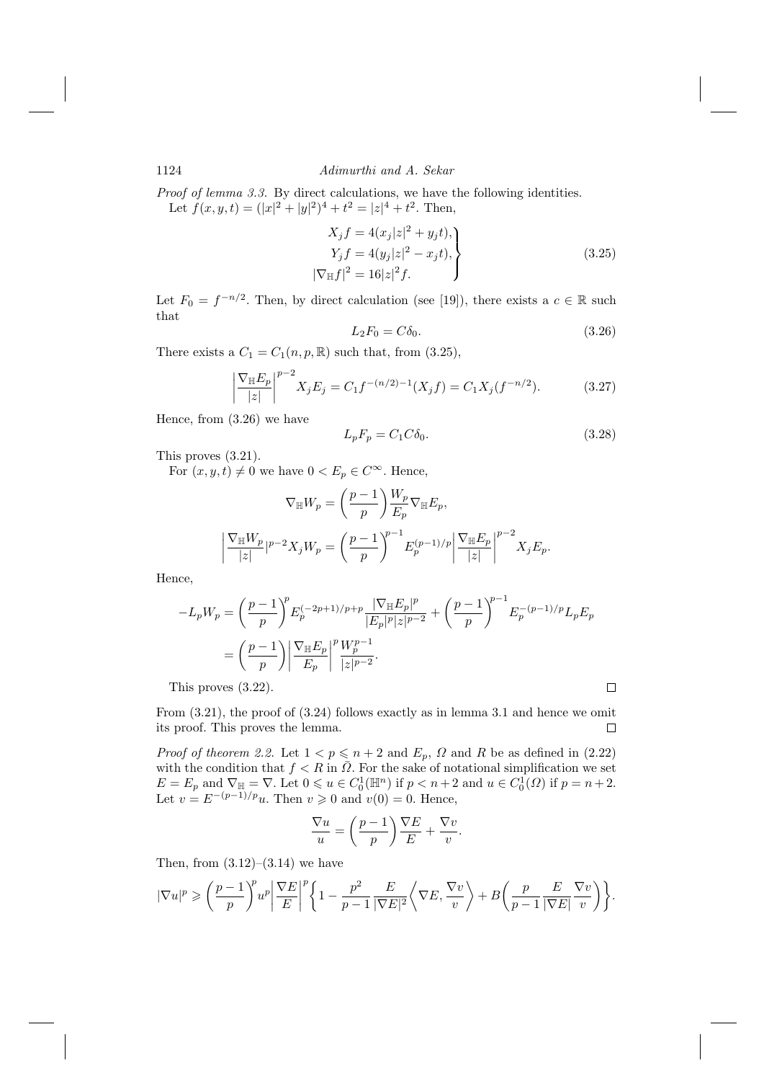*Proof of lemma 3.3.* By direct calculations, we have the following identities. Let  $f(x, y, t) = (|x|^2 + |y|^2)^4 + t^2 = |z|^4 + t^2$ . Then,

$$
X_j f = 4(x_j|z|^2 + y_j t),
$$
  
\n
$$
Y_j f = 4(y_j|z|^2 - x_j t),
$$
  
\n
$$
|\nabla_{\mathbb{H}} f|^2 = 16|z|^2 f.
$$
\n(3.25)

Let  $F_0 = f^{-n/2}$ . Then, by direct calculation (see [19]), there exists a  $c \in \mathbb{R}$  such that

$$
L_2 F_0 = C \delta_0. \tag{3.26}
$$

There exists a  $C_1 = C_1(n, p, \mathbb{R})$  such that, from (3.25),

$$
\left| \frac{\nabla_{\mathbb{H}} E_p}{|z|} \right|^{p-2} X_j E_j = C_1 f^{-(n/2)-1}(X_j f) = C_1 X_j(f^{-n/2}). \tag{3.27}
$$

Hence, from  $(3.26)$  we have

$$
L_p F_p = C_1 C \delta_0. \tag{3.28}
$$

 $\Box$ 

This proves  $(3.21)$ .

For  $(x, y, t) \neq 0$  we have  $0 < E_p \in C^{\infty}$ . Hence,

$$
\nabla_{\mathbb{H}} W_p = \left(\frac{p-1}{p}\right) \frac{W_p}{E_p} \nabla_{\mathbb{H}} E_p,
$$
\n
$$
\left| \frac{\nabla_{\mathbb{H}} W_p}{|z|} \right|^{p-2} X_j W_p = \left(\frac{p-1}{p}\right)^{p-1} E_p^{(p-1)/p} \left| \frac{\nabla_{\mathbb{H}} E_p}{|z|} \right|^{p-2} X_j E_p.
$$

Hence,

$$
-L_p W_p = \left(\frac{p-1}{p}\right)^p E_p^{(-2p+1)/p+p} \frac{|\nabla_{\mathbb{H}} E_p|^p}{|E_p|^p |z|^{p-2}} + \left(\frac{p-1}{p}\right)^{p-1} E_p^{-(p-1)/p} L_p E_p
$$

$$
= \left(\frac{p-1}{p}\right) \left|\frac{\nabla_{\mathbb{H}} E_p}{E_p}\right|^p \frac{W_p^{p-1}}{|z|^{p-2}}.
$$

This proves  $(3.22)$ .

From  $(3.21)$ , the proof of  $(3.24)$  follows exactly as in lemma 3.1 and hence we omit its proof. This proves the lemma.  $\Box$ 

*Proof of theorem 2.2.* Let  $1 < p \le n + 2$  and  $E_p$ ,  $\Omega$  and R be as defined in (2.22) with the condition that  $f < R$  in  $\overline{\Omega}$ . For the sake of notational simplification we set  $E = E_p$  and  $\nabla_{\mathbb{H}} = \nabla$ . Let  $0 \le u \in C_0^1(\mathbb{H}^n)$  if  $p < n+2$  and  $u \in C_0^1(\Omega)$  if  $p = n+2$ .<br>Let  $v = E^{-(p-1)/p}u$ . Then  $v \ge 0$  and  $v(0) = 0$ . Hence,

$$
\frac{\nabla u}{u} = \left(\frac{p-1}{p}\right)\frac{\nabla E}{E} + \frac{\nabla v}{v}.
$$

Then, from  $(3.12)$ – $(3.14)$  we have

$$
|\nabla u|^p \geqslant \bigg(\frac{p-1}{p}\bigg)^p u^p \bigg|\frac{\nabla E}{E}\bigg|^p \bigg\{1 - \frac{p^2}{p-1} \frac{E}{|\nabla E|^2} \bigg\langle \nabla E, \frac{\nabla v}{v} \bigg\rangle + B \bigg(\frac{p}{p-1} \frac{E}{|\nabla E|} \frac{\nabla v}{v} \bigg) \bigg\}.
$$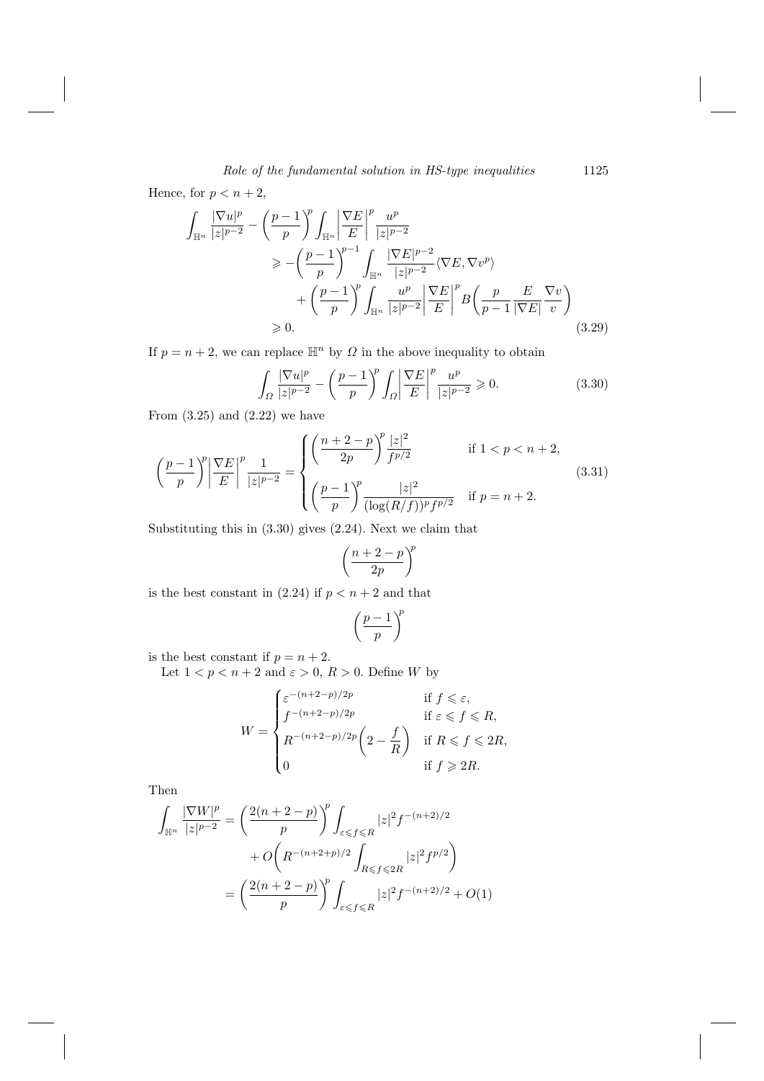Hence, for  $p < n + 2$ ,

$$
\int_{\mathbb{H}^n} \frac{|\nabla u|^p}{|z|^{p-2}} - \left(\frac{p-1}{p}\right)^p \int_{\mathbb{H}^n} \left|\frac{\nabla E}{E}\right|^p \frac{u^p}{|z|^{p-2}}\n\n\ge -\left(\frac{p-1}{p}\right)^{p-1} \int_{\mathbb{H}^n} \frac{|\nabla E|^{p-2}}{|z|^{p-2}} \langle \nabla E, \nabla v^p \rangle\n\n+ \left(\frac{p-1}{p}\right)^p \int_{\mathbb{H}^n} \frac{u^p}{|z|^{p-2}} \left|\frac{\nabla E}{E}\right|^p B\left(\frac{p}{p-1} \frac{E}{|\nabla E|} \frac{\nabla v}{v}\right)\n\n\ge 0.
$$
\n(3.29)

If  $p = n + 2$ , we can replace  $\mathbb{H}^n$  by  $\Omega$  in the above inequality to obtain

$$
\int_{\Omega} \frac{|\nabla u|^p}{|z|^{p-2}} - \left(\frac{p-1}{p}\right)^p \int_{\Omega} \left|\frac{\nabla E}{E}\right|^p \frac{u^p}{|z|^{p-2}} \geq 0. \tag{3.30}
$$

From  $(3.25)$  and  $(2.22)$  we have

$$
\left(\frac{p-1}{p}\right)^p \left|\frac{\nabla E}{E}\right|^p \frac{1}{|z|^{p-2}} = \begin{cases} \left(\frac{n+2-p}{2p}\right)^p \frac{|z|^2}{f^{p/2}} & \text{if } 1 < p < n+2, \\ \left(\frac{p-1}{p}\right)^p \frac{|z|^2}{(\log(R/f))^p f^{p/2}} & \text{if } p = n+2. \end{cases}
$$
(3.31)

Substituting this in  $(3.30)$  gives  $(2.24)$ . Next we claim that

$$
\left(\frac{n+2-p}{2p}\right)^p
$$

is the best constant in  $(2.24)$  if  $p < n + 2$  and that

$$
\left(\frac{p-1}{p}\right)^{\!p}
$$

is the best constant if  $p = n + 2$ .

Let  $1 < p < n + 2$  and  $\varepsilon > 0$ ,  $R > 0$ . Define W by

$$
W = \begin{cases} \varepsilon^{-(n+2-p)/2p} & \text{if } f \leq \varepsilon, \\ f^{-(n+2-p)/2p} & \text{if } \varepsilon \leq f \leq R, \\ R^{-(n+2-p)/2p} \left(2 - \frac{f}{R}\right) & \text{if } R \leqslant f \leqslant 2R, \\ 0 & \text{if } f \geqslant 2R. \end{cases}
$$

Then

$$
\int_{\mathbb{H}^n} \frac{|\nabla W|^p}{|z|^{p-2}} = \left(\frac{2(n+2-p)}{p}\right)^p \int_{\varepsilon \le f \le R} |z|^2 f^{-(n+2)/2} \n+ O\left(R^{-(n+2+p)/2} \int_{R \le f \le 2R} |z|^2 f^{p/2}\right) \n= \left(\frac{2(n+2-p)}{p}\right)^p \int_{\varepsilon \le f \le R} |z|^2 f^{-(n+2)/2} + O(1)
$$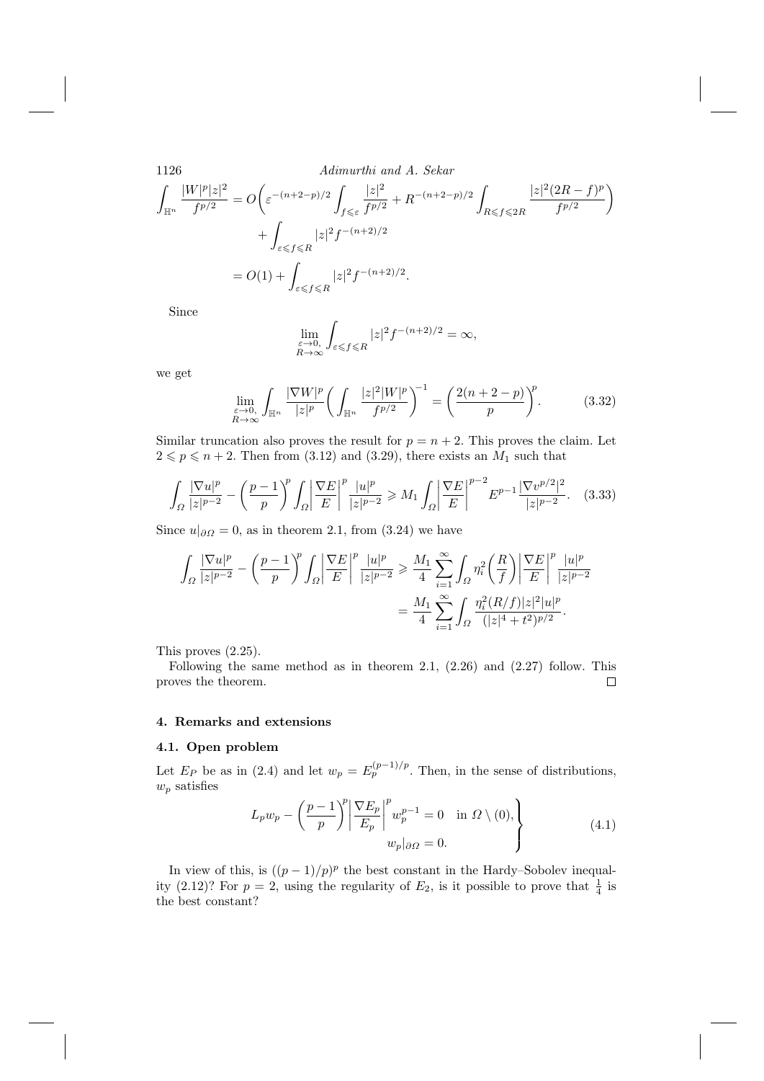$$
\int_{\mathbb{H}^n} \frac{|W|^p |z|^2}{f^{p/2}} = O\left(\varepsilon^{-(n+2-p)/2} \int_{f \leqslant \varepsilon} \frac{|z|^2}{f^{p/2}} + R^{-(n+2-p)/2} \int_{R \leqslant f \leqslant 2R} \frac{|z|^2 (2R - f)^p}{f^{p/2}} + \int_{\varepsilon \leqslant f \leqslant R} |z|^2 f^{-(n+2)/2} \right)
$$
  
=  $O(1) + \int_{\varepsilon \leqslant f \leqslant R} |z|^2 f^{-(n+2)/2}.$ 

Since

$$
\lim_{\substack{\varepsilon \to 0, \\ R \to \infty}} \int_{\varepsilon \leqslant f \leqslant R} |z|^2 f^{-(n+2)/2} = \infty,
$$

we get

$$
\lim_{\substack{\varepsilon \to 0, \\ R \to \infty}} \int_{\mathbb{H}^n} \frac{|\nabla W|^p}{|z|^p} \left( \int_{\mathbb{H}^n} \frac{|z|^2 |W|^p}{f^{p/2}} \right)^{-1} = \left( \frac{2(n+2-p)}{p} \right)^p. \tag{3.32}
$$

Similar truncation also proves the result for  $p = n + 2$ . This proves the claim. Let  $2 \leqslant p \leqslant n+2$ . Then from (3.12) and (3.29), there exists an  $M_1$  such that

$$
\int_{\Omega} \frac{|\nabla u|^p}{|z|^{p-2}} - \left(\frac{p-1}{p}\right)^p \int_{\Omega} \left|\frac{\nabla E}{E}\right|^p \frac{|u|^p}{|z|^{p-2}} \ge M_1 \int_{\Omega} \left|\frac{\nabla E}{E}\right|^{p-2} E^{p-1} \frac{|\nabla v^{p/2}|^2}{|z|^{p-2}}. \tag{3.33}
$$

Since  $u|_{\partial\Omega} = 0$ , as in theorem 2.1, from (3.24) we have

$$
\begin{split} \int_{\varOmega} \frac{|\nabla u|^p}{|z|^{p-2}} - \left(\frac{p-1}{p}\right)^{\!p} \int_{\varOmega} \left|\frac{\nabla E}{E}\right|^p \frac{|u|^p}{|z|^{p-2}} \geqslant \frac{M_1}{4} \sum_{i=1}^{\infty} \int_{\varOmega} \eta_i^2 \left(\frac{R}{f}\right) \left|\frac{\nabla E}{E}\right|^p \frac{|u|^p}{|z|^{p-2}} \\ = \frac{M_1}{4} \sum_{i=1}^{\infty} \int_{\varOmega} \frac{\eta_i^2 (R/f)|z|^2 |u|^p}{(|z|^4 + t^2)^{p/2}}. \end{split}
$$

This proves  $(2.25)$ .

Following the same method as in theorem 2.1,  $(2.26)$  and  $(2.27)$  follow. This proves the theorem.  $\Box$ 

# 4. Remarks and extensions

# 4.1. Open problem

Let  $E_P$  be as in (2.4) and let  $w_p = E_p^{(p-1)/p}$ . Then, in the sense of distributions,  $w_p$  satisfies

$$
L_p w_p - \left(\frac{p-1}{p}\right)^p \left|\frac{\nabla E_p}{E_p}\right|^p w_p^{p-1} = 0 \quad \text{in } \Omega \setminus (0),
$$
  

$$
w_p|_{\partial \Omega} = 0.
$$
 (4.1)

In view of this, is  $((p-1)/p)^p$  the best constant in the Hardy-Sobolev inequality (2.12)? For  $p = 2$ , using the regularity of  $E_2$ , is it possible to prove that  $\frac{1}{4}$  is the best constant?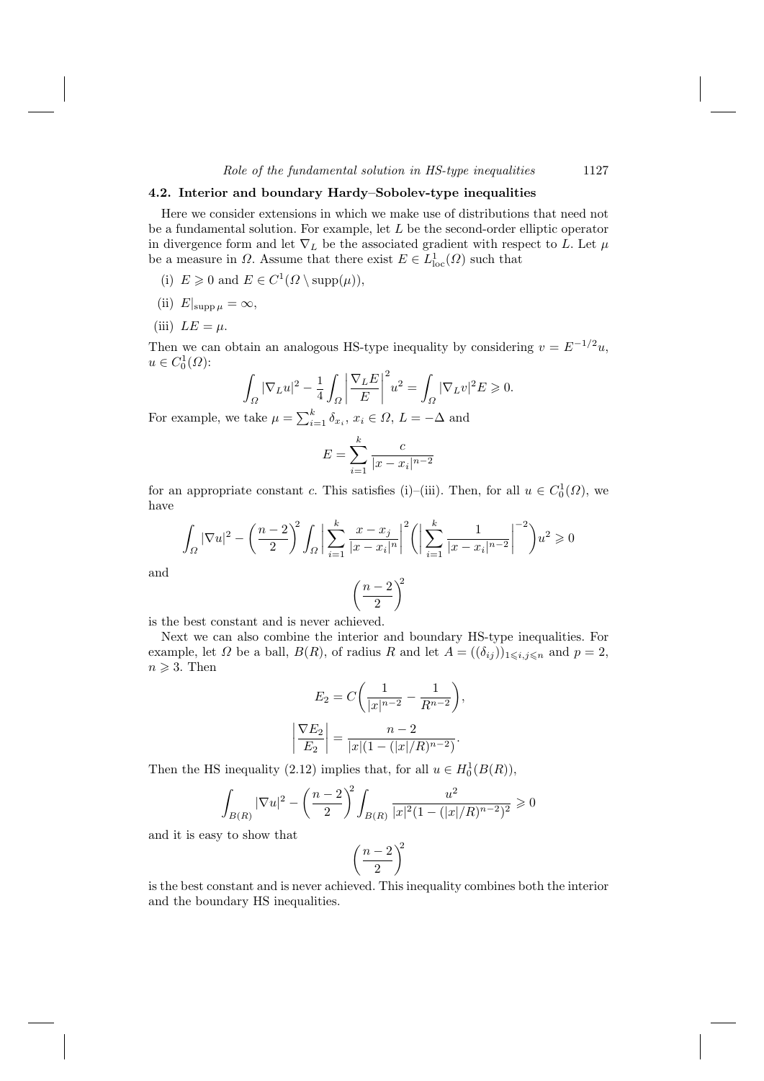## 4.2. Interior and boundary Hardy-Sobolev-type inequalities

Here we consider extensions in which we make use of distributions that need not be a fundamental solution. For example, let  $L$  be the second-order elliptic operator in divergence form and let  $\nabla_L$  be the associated gradient with respect to  $L.$  Let  $\mu$ be a measure in  $\Omega$ . Assume that there exist  $E \in L^1_{loc}(\Omega)$  such that

- (i)  $E \geq 0$  and  $E \in C^1(\Omega \setminus \text{supp}(\mu)),$
- (ii)  $E|_{\text{supp }\mu} = \infty$ ,
- (iii)  $LE = \mu$ .

Then we can obtain an analogous HS-type inequality by considering  $v = E^{-1/2}u$ ,  $u \in C_0^1(\Omega)$ :

$$
\int_{\Omega} |\nabla_L u|^2 - \frac{1}{4} \int_{\Omega} \left| \frac{\nabla_L E}{E} \right|^2 u^2 = \int_{\Omega} |\nabla_L v|^2 E \ge 0.
$$

For example, we take  $\mu = \sum_{i=1}^{k} \delta_{x_i}, x_i \in \Omega, L = -\Delta$  and

$$
E = \sum_{i=1}^{k} \frac{c}{|x - x_i|^{n-2}}
$$

for an appropriate constant c. This satisfies (i)–(iii). Then, for all  $u \in C_0^1(\Omega)$ , we have

$$
\int_{\Omega} |\nabla u|^2 - \left(\frac{n-2}{2}\right)^2 \int_{\Omega} \left| \sum_{i=1}^k \frac{x - x_i}{|x - x_i|^n} \right|^2 \left( \left| \sum_{i=1}^k \frac{1}{|x - x_i|^{n-2}} \right|^{-2} \right) u^2 \ge 0
$$

$$
\left( \frac{n-2}{2} \right)^2
$$

and

$$
\left(\frac{n-2}{2}\right)^n
$$

is the best constant and is never achieved.

Next we can also combine the interior and boundary HS-type inequalities. For example, let  $\Omega$  be a ball,  $B(R)$ , of radius R and let  $A = ((\delta_{ij}))_{1 \leq i,j \leq n}$  and  $p = 2$ ,  $n \geqslant 3$ . Then

$$
E_2 = C \left( \frac{1}{|x|^{n-2}} - \frac{1}{R^{n-2}} \right),
$$
  

$$
\left| \frac{\nabla E_2}{E_2} \right| = \frac{n-2}{|x|(1 - (|x|/R)^{n-2})}.
$$

Then the HS inequality (2.12) implies that, for all  $u \in H_0^1(B(R))$ ,

$$
\int_{B(R)} |\nabla u|^2 - \left(\frac{n-2}{2}\right)^2 \int_{B(R)} \frac{u^2}{|x|^2 (1 - (|x|/R)^{n-2})^2} \ge 0
$$

and it is easy to show that

$$
\left(\frac{n-2}{2}\right)^2
$$

is the best constant and is never achieved. This inequality combines both the interior and the boundary HS inequalities.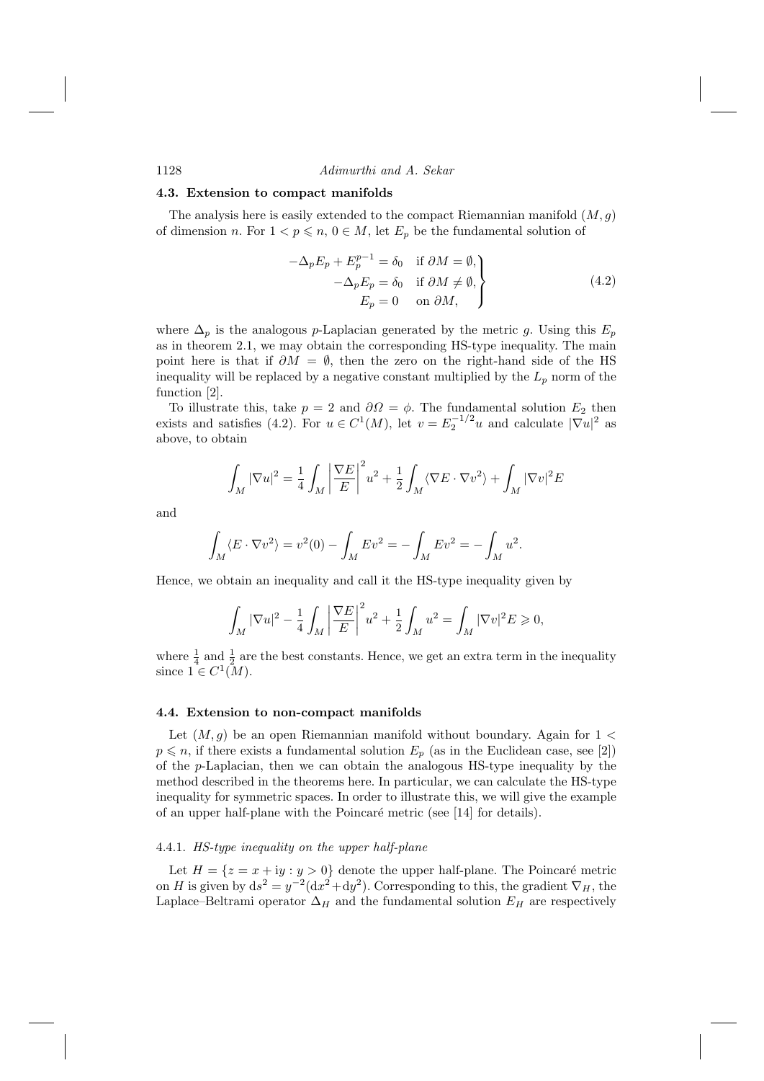#### 4.3. Extension to compact manifolds

The analysis here is easily extended to the compact Riemannian manifold  $(M, g)$ of dimension n. For  $1 < p \le n$ ,  $0 \in M$ , let  $E_p$  be the fundamental solution of

$$
-\Delta_p E_p + E_p^{p-1} = \delta_0 \quad \text{if } \partial M = \emptyset, -\Delta_p E_p = \delta_0 \quad \text{if } \partial M \neq \emptyset, E_p = 0 \quad \text{on } \partial M,
$$
 (4.2)

where  $\Delta_p$  is the analogous p-Laplacian generated by the metric g. Using this  $E_p$ as in theorem 2.1, we may obtain the corresponding HS-type inequality. The main point here is that if  $\partial M = \emptyset$ , then the zero on the right-hand side of the HS inequality will be replaced by a negative constant multiplied by the  $L_p$  norm of the function [2].

To illustrate this, take  $p = 2$  and  $\partial \Omega = \phi$ . The fundamental solution  $E_2$  then exists and satisfies (4.2). For  $u \in C^1(M)$ , let  $v = E_2^{-1/2}u$  and calculate  $|\nabla u|^2$  as above, to obtain

$$
\int_M |\nabla u|^2 = \frac{1}{4} \int_M \left| \frac{\nabla E}{E} \right|^2 u^2 + \frac{1}{2} \int_M \langle \nabla E \cdot \nabla v^2 \rangle + \int_M |\nabla v|^2 E
$$

and

$$
\int_M \langle E \cdot \nabla v^2 \rangle = v^2(0) - \int_M E v^2 = - \int_M E v^2 = - \int_M u^2.
$$

Hence, we obtain an inequality and call it the HS-type inequality given by

$$
\int_M |\nabla u|^2 - \frac{1}{4} \int_M \left| \frac{\nabla E}{E} \right|^2 u^2 + \frac{1}{2} \int_M u^2 = \int_M |\nabla v|^2 E \ge 0,
$$

where  $\frac{1}{4}$  and  $\frac{1}{2}$  are the best constants. Hence, we get an extra term in the inequality since  $1 \in C^1(M)$ .

#### 4.4. Extension to non-compact manifolds

Let  $(M, g)$  be an open Riemannian manifold without boundary. Again for  $1 <$  $p \leq n$ , if there exists a fundamental solution  $E_p$  (as in the Euclidean case, see [2]) of the  $p$ -Laplacian, then we can obtain the analogous HS-type inequality by the method described in the theorems here. In particular, we can calculate the HS-type inequality for symmetric spaces. In order to illustrate this, we will give the example of an upper half-plane with the Poincaré metric (see [14] for details).

### 4.4.1. HS-type inequality on the upper half-plane

Let  $H = \{z = x + iy : y > 0\}$  denote the upper half-plane. The Poincaré metric<br>on H is given by  $ds^2 = y^{-2}(dx^2 + dy^2)$ . Corresponding to this, the gradient  $\nabla_H$ , the Laplace–Beltrami operator  $\Delta_H$  and the fundamental solution  $E_H$  are respectively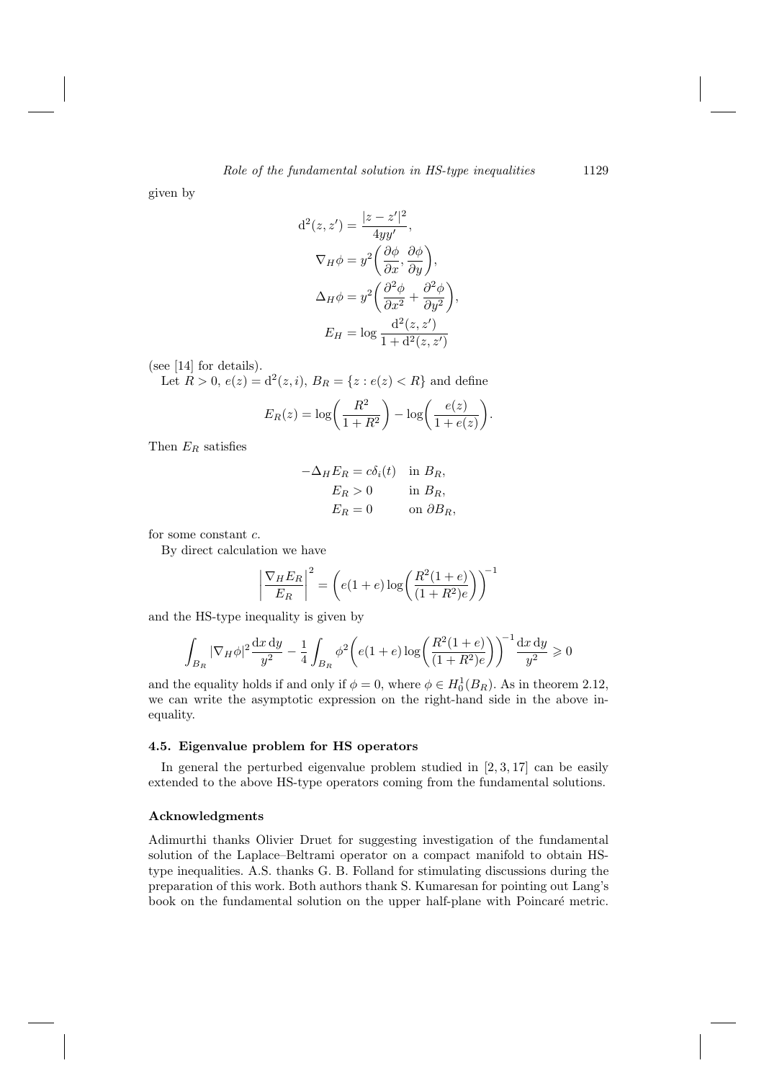given by

$$
d^{2}(z, z') = \frac{|z - z'|^{2}}{4yy'},
$$
  
\n
$$
\nabla_{H}\phi = y^{2} \left(\frac{\partial\phi}{\partial x}, \frac{\partial\phi}{\partial y}\right),
$$
  
\n
$$
\Delta_{H}\phi = y^{2} \left(\frac{\partial^{2}\phi}{\partial x^{2}} + \frac{\partial^{2}\phi}{\partial y^{2}}\right),
$$
  
\n
$$
E_{H} = \log \frac{d^{2}(z, z')}{1 + d^{2}(z, z')}
$$

(see  $[14]$  for details).

Let  $R > 0$ ,  $e(z) = d^2(z, i)$ ,  $B_R = \{z : e(z) < R\}$  and define

$$
E_R(z) = \log\left(\frac{R^2}{1+R^2}\right) - \log\left(\frac{e(z)}{1+e(z)}\right).
$$

Then  $E_R$  satisfies

$$
-\Delta_H E_R = c\delta_i(t) \quad \text{in } B_R,
$$
  
\n
$$
E_R > 0 \quad \text{in } B_R,
$$
  
\n
$$
E_R = 0 \quad \text{on } \partial B_R,
$$

for some constant  $c.$ 

By direct calculation we have

$$
\left|\frac{\nabla_H E_R}{E_R}\right|^2 = \left(e(1+e)\log\left(\frac{R^2(1+e)}{(1+R^2)e}\right)\right)^{-1}
$$

and the HS-type inequality is given by

$$
\int_{B_R} |\nabla_H \phi|^2 \frac{dx \, dy}{y^2} - \frac{1}{4} \int_{B_R} \phi^2 \bigg( e(1+e) \log \bigg( \frac{R^2(1+e)}{(1+R^2)e} \bigg) \bigg)^{-1} \frac{dx \, dy}{y^2} \ge 0
$$

and the equality holds if and only if  $\phi = 0$ , where  $\phi \in H_0^1(B_R)$ . As in theorem 2.12, we can write the asymptotic expression on the right-hand side in the above inequality.

# 4.5. Eigenvalue problem for HS operators

In general the perturbed eigenvalue problem studied in  $[2, 3, 17]$  can be easily extended to the above HS-type operators coming from the fundamental solutions.

# Acknowledgments

Adimurthi thanks Olivier Druet for suggesting investigation of the fundamental solution of the Laplace–Beltrami operator on a compact manifold to obtain HStype inequalities. A.S. thanks G. B. Folland for stimulating discussions during the preparation of this work. Both authors thank S. Kumaresan for pointing out Lang's book on the fundamental solution on the upper half-plane with Poincaré metric.